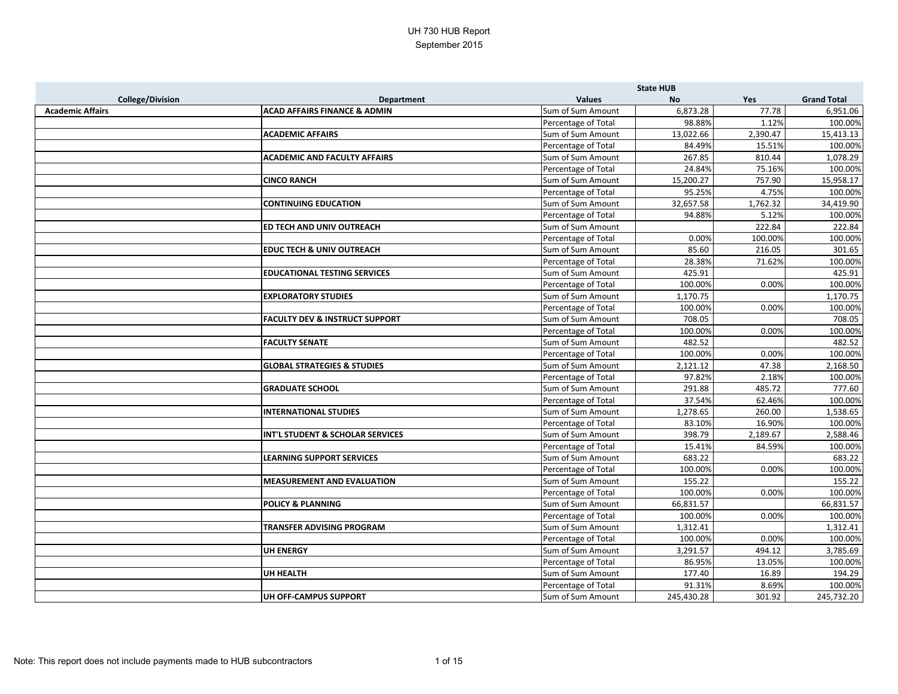|                         |                                           |                     | <b>State HUB</b> |          |                    |
|-------------------------|-------------------------------------------|---------------------|------------------|----------|--------------------|
| <b>College/Division</b> | <b>Department</b>                         | <b>Values</b>       | <b>No</b>        | Yes      | <b>Grand Total</b> |
| <b>Academic Affairs</b> | <b>ACAD AFFAIRS FINANCE &amp; ADMIN</b>   | Sum of Sum Amount   | 6,873.28         | 77.78    | 6,951.06           |
|                         |                                           | Percentage of Total | 98.88%           | 1.12%    | 100.00%            |
|                         | <b>ACADEMIC AFFAIRS</b>                   | Sum of Sum Amount   | 13,022.66        | 2,390.47 | 15,413.13          |
|                         |                                           | Percentage of Total | 84.49%           | 15.51%   | 100.00%            |
|                         | <b>ACADEMIC AND FACULTY AFFAIRS</b>       | Sum of Sum Amount   | 267.85           | 810.44   | 1,078.29           |
|                         |                                           | Percentage of Total | 24.84%           | 75.16%   | 100.00%            |
|                         | <b>CINCO RANCH</b>                        | Sum of Sum Amount   | 15,200.27        | 757.90   | 15,958.17          |
|                         |                                           | Percentage of Total | 95.25%           | 4.75%    | 100.00%            |
|                         | <b>CONTINUING EDUCATION</b>               | Sum of Sum Amount   | 32,657.58        | 1,762.32 | 34,419.90          |
|                         |                                           | Percentage of Total | 94.88%           | 5.12%    | 100.00%            |
|                         | ED TECH AND UNIV OUTREACH                 | Sum of Sum Amount   |                  | 222.84   | 222.84             |
|                         |                                           | Percentage of Total | 0.00%            | 100.00%  | 100.00%            |
|                         | <b>EDUC TECH &amp; UNIV OUTREACH</b>      | Sum of Sum Amount   | 85.60            | 216.05   | 301.65             |
|                         |                                           | Percentage of Total | 28.38%           | 71.62%   | 100.00%            |
|                         | <b>EDUCATIONAL TESTING SERVICES</b>       | Sum of Sum Amount   | 425.91           |          | 425.91             |
|                         |                                           | Percentage of Total | 100.00%          | 0.00%    | 100.00%            |
|                         | <b>EXPLORATORY STUDIES</b>                | Sum of Sum Amount   | 1,170.75         |          | 1,170.75           |
|                         |                                           | Percentage of Total | 100.00%          | 0.00%    | 100.00%            |
|                         | <b>FACULTY DEV &amp; INSTRUCT SUPPORT</b> | Sum of Sum Amount   | 708.05           |          | 708.05             |
|                         |                                           | Percentage of Total | 100.00%          | 0.00%    | 100.00%            |
|                         | <b>FACULTY SENATE</b>                     | Sum of Sum Amount   | 482.52           |          | 482.52             |
|                         |                                           | Percentage of Total | 100.00%          | 0.00%    | 100.00%            |
|                         | <b>GLOBAL STRATEGIES &amp; STUDIES</b>    | Sum of Sum Amount   | 2,121.12         | 47.38    | 2,168.50           |
|                         |                                           | Percentage of Total | 97.82%           | 2.18%    | 100.00%            |
|                         | <b>GRADUATE SCHOOL</b>                    | Sum of Sum Amount   | 291.88           | 485.72   | 777.60             |
|                         |                                           | Percentage of Total | 37.54%           | 62.46%   | 100.00%            |
|                         | <b>INTERNATIONAL STUDIES</b>              | Sum of Sum Amount   | 1,278.65         | 260.00   | 1,538.65           |
|                         |                                           | Percentage of Total | 83.10%           | 16.90%   | 100.00%            |
|                         | INT'L STUDENT & SCHOLAR SERVICES          | Sum of Sum Amount   | 398.79           | 2,189.67 | 2,588.46           |
|                         |                                           | Percentage of Total | 15.41%           | 84.59%   | 100.00%            |
|                         | <b>LEARNING SUPPORT SERVICES</b>          | Sum of Sum Amount   | 683.22           |          | 683.22             |
|                         |                                           | Percentage of Total | 100.00%          | 0.00%    | 100.00%            |
|                         | <b>MEASUREMENT AND EVALUATION</b>         | Sum of Sum Amount   | 155.22           |          | 155.22             |
|                         |                                           | Percentage of Total | 100.00%          | 0.00%    | 100.00%            |
|                         | <b>POLICY &amp; PLANNING</b>              | Sum of Sum Amount   | 66,831.57        |          | 66,831.57          |
|                         |                                           | Percentage of Total | 100.00%          | 0.00%    | 100.00%            |
|                         | <b>TRANSFER ADVISING PROGRAM</b>          | Sum of Sum Amount   | 1,312.41         |          | 1,312.41           |
|                         |                                           | Percentage of Total | 100.00%          | 0.00%    | 100.00%            |
|                         | <b>UH ENERGY</b>                          | Sum of Sum Amount   | 3,291.57         | 494.12   | 3,785.69           |
|                         |                                           | Percentage of Total | 86.95%           | 13.05%   | 100.00%            |
|                         | <b>UH HEALTH</b>                          | Sum of Sum Amount   | 177.40           | 16.89    | 194.29             |
|                         |                                           | Percentage of Total | 91.31%           | 8.69%    | 100.00%            |
|                         | UH OFF-CAMPUS SUPPORT                     | Sum of Sum Amount   | 245,430.28       | 301.92   | 245,732.20         |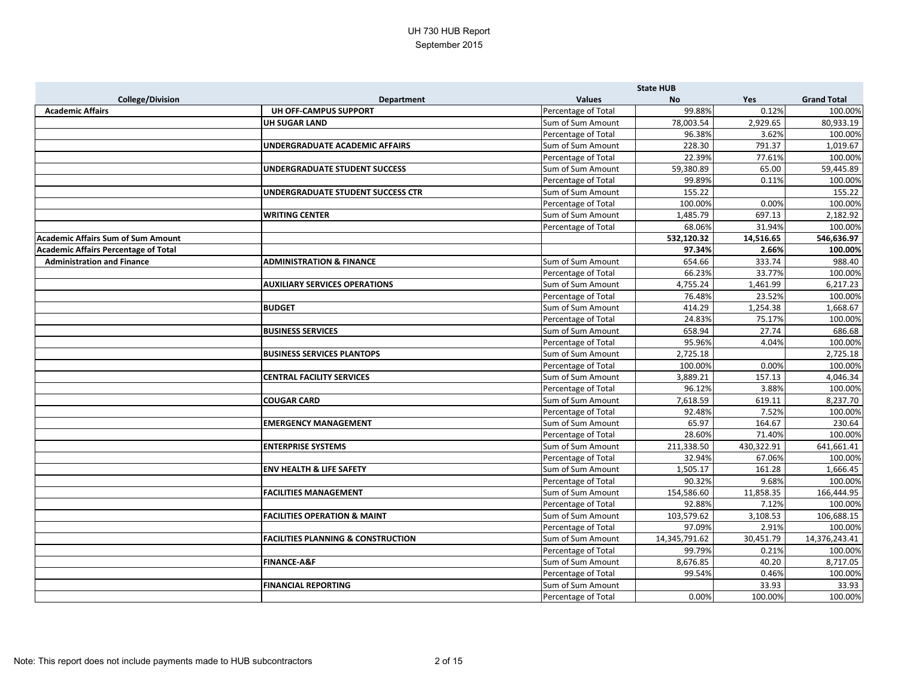|                                             |                                               |                     | <b>State HUB</b> |            |                    |
|---------------------------------------------|-----------------------------------------------|---------------------|------------------|------------|--------------------|
| <b>College/Division</b>                     | <b>Department</b>                             | <b>Values</b>       | <b>No</b>        | Yes        | <b>Grand Total</b> |
| <b>Academic Affairs</b>                     | UH OFF-CAMPUS SUPPORT                         | Percentage of Total | 99.88%           | 0.12%      | 100.00%            |
|                                             | <b>UH SUGAR LAND</b>                          | Sum of Sum Amount   | 78,003.54        | 2,929.65   | 80,933.19          |
|                                             |                                               | Percentage of Total | 96.38%           | 3.62%      | 100.00%            |
|                                             | <b>UNDERGRADUATE ACADEMIC AFFAIRS</b>         | Sum of Sum Amount   | 228.30           | 791.37     | 1,019.67           |
|                                             |                                               | Percentage of Total | 22.39%           | 77.61%     | 100.00%            |
|                                             | UNDERGRADUATE STUDENT SUCCESS                 | Sum of Sum Amount   | 59,380.89        | 65.00      | 59,445.89          |
|                                             |                                               | Percentage of Total | 99.89%           | 0.11%      | 100.00%            |
|                                             | <b>UNDERGRADUATE STUDENT SUCCESS CTR</b>      | Sum of Sum Amount   | 155.22           |            | 155.22             |
|                                             |                                               | Percentage of Total | 100.00%          | 0.00%      | 100.00%            |
|                                             | <b>WRITING CENTER</b>                         | Sum of Sum Amount   | 1,485.79         | 697.13     | 2,182.92           |
|                                             |                                               | Percentage of Total | 68.06%           | 31.94%     | 100.00%            |
| <b>Academic Affairs Sum of Sum Amount</b>   |                                               |                     | 532,120.32       | 14,516.65  | 546,636.97         |
| <b>Academic Affairs Percentage of Total</b> |                                               |                     | 97.34%           | 2.66%      | 100.00%            |
| <b>Administration and Finance</b>           | <b>ADMINISTRATION &amp; FINANCE</b>           | Sum of Sum Amount   | 654.66           | 333.74     | 988.40             |
|                                             |                                               | Percentage of Total | 66.23%           | 33.77%     | 100.00%            |
|                                             | <b>AUXILIARY SERVICES OPERATIONS</b>          | Sum of Sum Amount   | 4,755.24         | 1,461.99   | 6,217.23           |
|                                             |                                               | Percentage of Total | 76.48%           | 23.52%     | 100.00%            |
|                                             | <b>BUDGET</b>                                 | Sum of Sum Amount   | 414.29           | 1,254.38   | 1,668.67           |
|                                             |                                               | Percentage of Total | 24.83%           | 75.17%     | 100.00%            |
|                                             | <b>BUSINESS SERVICES</b>                      | Sum of Sum Amount   | 658.94           | 27.74      | 686.68             |
|                                             |                                               | Percentage of Total | 95.96%           | 4.04%      | 100.00%            |
|                                             | <b>BUSINESS SERVICES PLANTOPS</b>             | Sum of Sum Amount   | 2,725.18         |            | 2,725.18           |
|                                             |                                               | Percentage of Total | 100.00%          | 0.00%      | 100.00%            |
|                                             | <b>CENTRAL FACILITY SERVICES</b>              | Sum of Sum Amount   | 3,889.21         | 157.13     | 4,046.34           |
|                                             |                                               | Percentage of Total | 96.12%           | 3.88%      | 100.00%            |
|                                             | <b>COUGAR CARD</b>                            | Sum of Sum Amount   | 7,618.59         | 619.11     | 8,237.70           |
|                                             |                                               | Percentage of Total | 92.48%           | 7.52%      | 100.00%            |
|                                             | <b>EMERGENCY MANAGEMENT</b>                   | Sum of Sum Amount   | 65.97            | 164.67     | 230.64             |
|                                             |                                               | Percentage of Total | 28.60%           | 71.40%     | 100.00%            |
|                                             | <b>ENTERPRISE SYSTEMS</b>                     | Sum of Sum Amount   | 211,338.50       | 430,322.91 | 641,661.41         |
|                                             |                                               | Percentage of Total | 32.94%           | 67.06%     | 100.00%            |
|                                             | <b>ENV HEALTH &amp; LIFE SAFETY</b>           | Sum of Sum Amount   | 1,505.17         | 161.28     | 1,666.45           |
|                                             |                                               | Percentage of Total | 90.32%           | 9.68%      | 100.00%            |
|                                             | <b>FACILITIES MANAGEMENT</b>                  | Sum of Sum Amount   | 154,586.60       | 11,858.35  | 166,444.95         |
|                                             |                                               | Percentage of Total | 92.88%           | 7.12%      | 100.00%            |
|                                             | <b>FACILITIES OPERATION &amp; MAINT</b>       | Sum of Sum Amount   | 103,579.62       | 3,108.53   | 106,688.15         |
|                                             |                                               | Percentage of Total | 97.09%           | 2.91%      | 100.00%            |
|                                             | <b>FACILITIES PLANNING &amp; CONSTRUCTION</b> | Sum of Sum Amount   | 14,345,791.62    | 30,451.79  | 14,376,243.41      |
|                                             |                                               | Percentage of Total | 99.79%           | 0.21%      | 100.00%            |
|                                             | <b>FINANCE-A&amp;F</b>                        | Sum of Sum Amount   | 8,676.85         | 40.20      | 8,717.05           |
|                                             |                                               | Percentage of Total | 99.54%           | 0.46%      | 100.00%            |
|                                             | <b>FINANCIAL REPORTING</b>                    | Sum of Sum Amount   |                  | 33.93      | 33.93              |
|                                             |                                               | Percentage of Total | 0.00%            | 100.00%    | 100.00%            |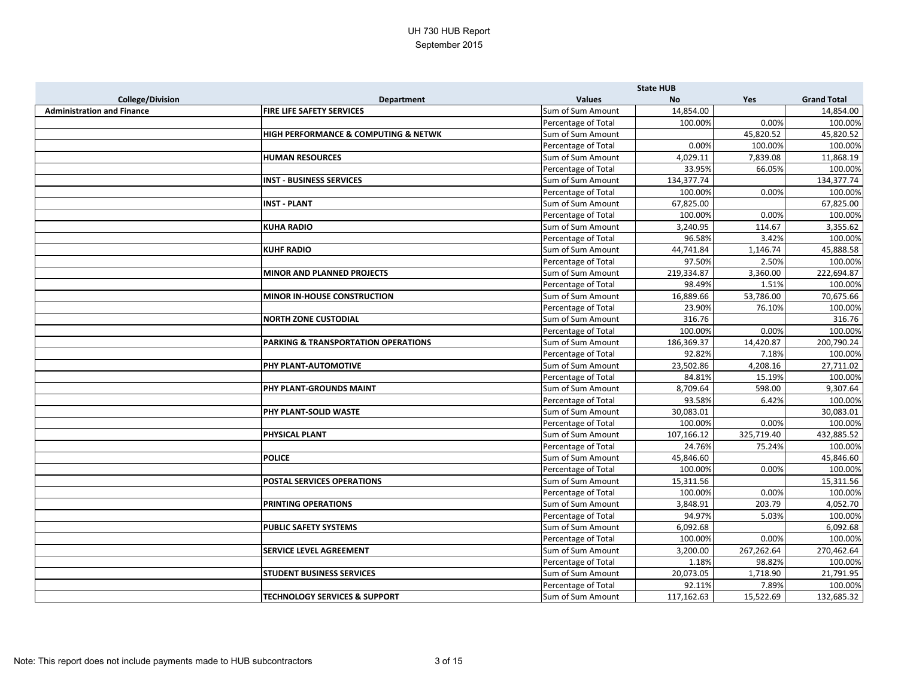|                                   |                                          |                     | <b>State HUB</b> |            |                    |
|-----------------------------------|------------------------------------------|---------------------|------------------|------------|--------------------|
| <b>College/Division</b>           | <b>Department</b>                        | <b>Values</b>       | <b>No</b>        | Yes        | <b>Grand Total</b> |
| <b>Administration and Finance</b> | FIRE LIFE SAFETY SERVICES                | Sum of Sum Amount   | 14,854.00        |            | 14,854.00          |
|                                   |                                          | Percentage of Total | 100.00%          | 0.00%      | 100.00%            |
|                                   | HIGH PERFORMANCE & COMPUTING & NETWK     | Sum of Sum Amount   |                  | 45,820.52  | 45,820.52          |
|                                   |                                          | Percentage of Total | 0.00%            | 100.00%    | 100.00%            |
|                                   | <b>HUMAN RESOURCES</b>                   | Sum of Sum Amount   | 4,029.11         | 7,839.08   | 11,868.19          |
|                                   |                                          | Percentage of Total | 33.95%           | 66.05%     | 100.00%            |
|                                   | <b>INST - BUSINESS SERVICES</b>          | Sum of Sum Amount   | 134,377.74       |            | 134,377.74         |
|                                   |                                          | Percentage of Total | 100.00%          | 0.00%      | 100.00%            |
|                                   | <b>INST - PLANT</b>                      | Sum of Sum Amount   | 67,825.00        |            | 67,825.00          |
|                                   |                                          | Percentage of Total | 100.00%          | 0.00%      | 100.00%            |
|                                   | <b>KUHA RADIO</b>                        | Sum of Sum Amount   | 3,240.95         | 114.67     | 3,355.62           |
|                                   |                                          | Percentage of Total | 96.58%           | 3.42%      | 100.00%            |
|                                   | <b>KUHF RADIO</b>                        | Sum of Sum Amount   | 44,741.84        | 1,146.74   | 45,888.58          |
|                                   |                                          | Percentage of Total | 97.50%           | 2.50%      | 100.00%            |
|                                   | <b>MINOR AND PLANNED PROJECTS</b>        | Sum of Sum Amount   | 219,334.87       | 3,360.00   | 222,694.87         |
|                                   |                                          | Percentage of Total | 98.49%           | 1.51%      | 100.00%            |
|                                   | <b>MINOR IN-HOUSE CONSTRUCTION</b>       | Sum of Sum Amount   | 16,889.66        | 53,786.00  | 70,675.66          |
|                                   |                                          | Percentage of Total | 23.90%           | 76.10%     | 100.00%            |
|                                   | <b>NORTH ZONE CUSTODIAL</b>              | Sum of Sum Amount   | 316.76           |            | 316.76             |
|                                   |                                          | Percentage of Total | 100.00%          | 0.00%      | 100.00%            |
|                                   | PARKING & TRANSPORTATION OPERATIONS      | Sum of Sum Amount   | 186,369.37       | 14,420.87  | 200,790.24         |
|                                   |                                          | Percentage of Total | 92.82%           | 7.18%      | 100.00%            |
|                                   | <b>PHY PLANT-AUTOMOTIVE</b>              | Sum of Sum Amount   | 23,502.86        | 4,208.16   | 27,711.02          |
|                                   |                                          | Percentage of Total | 84.81%           | 15.19%     | 100.00%            |
|                                   | PHY PLANT-GROUNDS MAINT                  | Sum of Sum Amount   | 8,709.64         | 598.00     | 9,307.64           |
|                                   |                                          | Percentage of Total | 93.58%           | 6.42%      | 100.00%            |
|                                   | PHY PLANT-SOLID WASTE                    | Sum of Sum Amount   | 30,083.01        |            | 30,083.01          |
|                                   |                                          | Percentage of Total | 100.00%          | 0.00%      | 100.00%            |
|                                   | <b>PHYSICAL PLANT</b>                    | Sum of Sum Amount   | 107,166.12       | 325,719.40 | 432,885.52         |
|                                   |                                          | Percentage of Total | 24.76%           | 75.24%     | 100.00%            |
|                                   | <b>POLICE</b>                            | Sum of Sum Amount   | 45,846.60        |            | 45,846.60          |
|                                   |                                          | Percentage of Total | 100.00%          | 0.00%      | 100.00%            |
|                                   | POSTAL SERVICES OPERATIONS               | Sum of Sum Amount   | 15,311.56        |            | 15,311.56          |
|                                   |                                          | Percentage of Total | 100.00%          | 0.00%      | 100.00%            |
|                                   | <b>PRINTING OPERATIONS</b>               | Sum of Sum Amount   | 3,848.91         | 203.79     | 4,052.70           |
|                                   |                                          | Percentage of Total | 94.97%           | 5.03%      | 100.00%            |
|                                   | PUBLIC SAFETY SYSTEMS                    | Sum of Sum Amount   | 6,092.68         |            | 6,092.68           |
|                                   |                                          | Percentage of Total | 100.00%          | 0.00%      | 100.00%            |
|                                   | <b>SERVICE LEVEL AGREEMENT</b>           | Sum of Sum Amount   | 3,200.00         | 267,262.64 | 270,462.64         |
|                                   |                                          | Percentage of Total | 1.18%            | 98.82%     | 100.00%            |
|                                   | <b>STUDENT BUSINESS SERVICES</b>         | Sum of Sum Amount   | 20,073.05        | 1,718.90   | 21,791.95          |
|                                   |                                          | Percentage of Total | 92.11%           | 7.89%      | 100.00%            |
|                                   | <b>TECHNOLOGY SERVICES &amp; SUPPORT</b> | Sum of Sum Amount   | 117,162.63       | 15,522.69  | 132,685.32         |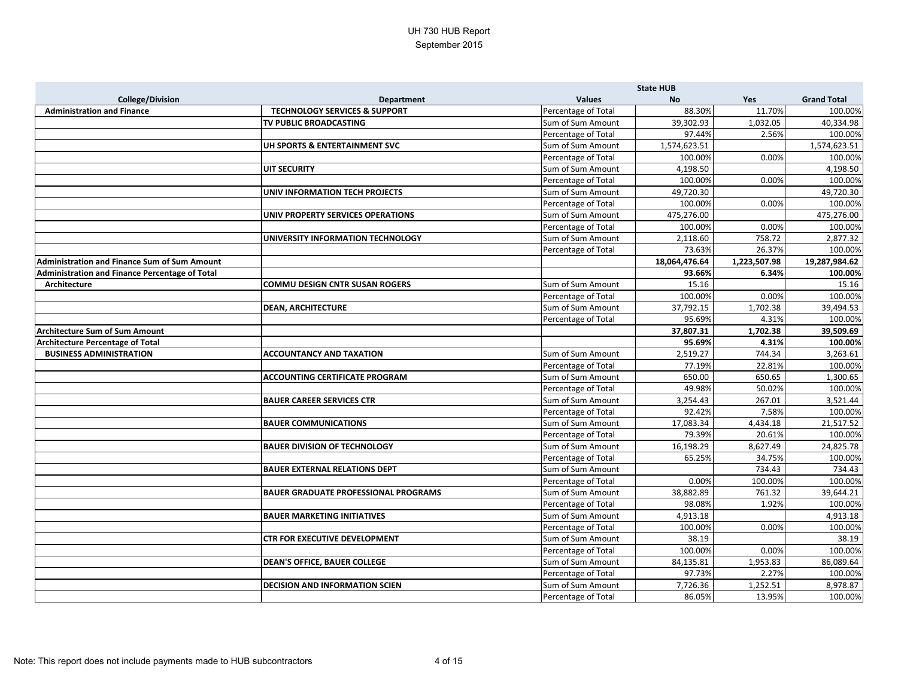|                                                |                                              |                     | <b>State HUB</b> |              |                    |
|------------------------------------------------|----------------------------------------------|---------------------|------------------|--------------|--------------------|
| <b>College/Division</b>                        | <b>Department</b>                            | <b>Values</b>       | <b>No</b>        | Yes          | <b>Grand Total</b> |
| <b>Administration and Finance</b>              | <b>TECHNOLOGY SERVICES &amp; SUPPORT</b>     | Percentage of Total | 88.30%           | 11.70%       | 100.00%            |
|                                                | <b>TV PUBLIC BROADCASTING</b>                | Sum of Sum Amount   | 39,302.93        | 1,032.05     | 40,334.98          |
|                                                |                                              | Percentage of Total | 97.44%           | 2.56%        | 100.00%            |
|                                                | UH SPORTS & ENTERTAINMENT SVC                | Sum of Sum Amount   | 1,574,623.51     |              | 1,574,623.51       |
|                                                |                                              | Percentage of Total | 100.00%          | 0.00%        | 100.00%            |
|                                                | <b>UIT SECURITY</b>                          | Sum of Sum Amount   | 4,198.50         |              | 4,198.50           |
|                                                |                                              | Percentage of Total | 100.00%          | 0.00%        | 100.00%            |
|                                                | UNIV INFORMATION TECH PROJECTS               | Sum of Sum Amount   | 49,720.30        |              | 49,720.30          |
|                                                |                                              | Percentage of Total | 100.00%          | 0.00%        | 100.00%            |
|                                                | UNIV PROPERTY SERVICES OPERATIONS            | Sum of Sum Amount   | 475,276.00       |              | 475,276.00         |
|                                                |                                              | Percentage of Total | 100.00%          | 0.00%        | 100.00%            |
|                                                | UNIVERSITY INFORMATION TECHNOLOGY            | Sum of Sum Amount   | 2,118.60         | 758.72       | 2,877.32           |
|                                                |                                              | Percentage of Total | 73.63%           | 26.37%       | 100.00%            |
| Administration and Finance Sum of Sum Amount   |                                              |                     | 18,064,476.64    | 1,223,507.98 | 19,287,984.62      |
| Administration and Finance Percentage of Total |                                              |                     | 93.66%           | 6.34%        | 100.00%            |
| Architecture                                   | <b>COMMU DESIGN CNTR SUSAN ROGERS</b>        | Sum of Sum Amount   | 15.16            |              | 15.16              |
|                                                |                                              | Percentage of Total | 100.00%          | 0.00%        | 100.00%            |
|                                                | <b>DEAN, ARCHITECTURE</b>                    | Sum of Sum Amount   | 37,792.15        | 1,702.38     | 39,494.53          |
|                                                |                                              | Percentage of Total | 95.69%           | 4.31%        | 100.00%            |
| <b>Architecture Sum of Sum Amount</b>          |                                              |                     | 37,807.31        | 1,702.38     | 39,509.69          |
| <b>Architecture Percentage of Total</b>        |                                              |                     | 95.69%           | 4.31%        | 100.00%            |
| <b>BUSINESS ADMINISTRATION</b>                 | <b>ACCOUNTANCY AND TAXATION</b>              | Sum of Sum Amount   | 2,519.27         | 744.34       | 3,263.61           |
|                                                |                                              | Percentage of Total | 77.19%           | 22.81%       | 100.00%            |
|                                                | <b>ACCOUNTING CERTIFICATE PROGRAM</b>        | Sum of Sum Amount   | 650.00           | 650.65       | 1,300.65           |
|                                                |                                              | Percentage of Total | 49.98%           | 50.02%       | 100.00%            |
|                                                | <b>BAUER CAREER SERVICES CTR</b>             | Sum of Sum Amount   | 3,254.43         | 267.01       | 3,521.44           |
|                                                |                                              | Percentage of Total | 92.42%           | 7.58%        | 100.00%            |
|                                                | <b>BAUER COMMUNICATIONS</b>                  | Sum of Sum Amount   | 17,083.34        | 4,434.18     | 21,517.52          |
|                                                |                                              | Percentage of Total | 79.39%           | 20.61%       | 100.00%            |
|                                                | <b>BAUER DIVISION OF TECHNOLOGY</b>          | Sum of Sum Amount   | 16,198.29        | 8,627.49     | 24,825.78          |
|                                                |                                              | Percentage of Total | 65.25%           | 34.75%       | 100.00%            |
|                                                | <b>BAUER EXTERNAL RELATIONS DEPT</b>         | Sum of Sum Amount   |                  | 734.43       | 734.43             |
|                                                |                                              | Percentage of Total | 0.00%            | 100.00%      | 100.00%            |
|                                                | <b> BAUER GRADUATE PROFESSIONAL PROGRAMS</b> | Sum of Sum Amount   | 38,882.89        | 761.32       | 39,644.21          |
|                                                |                                              | Percentage of Total | 98.08%           | 1.92%        | 100.00%            |
|                                                | <b>BAUER MARKETING INITIATIVES</b>           | Sum of Sum Amount   | 4,913.18         |              | 4,913.18           |
|                                                |                                              | Percentage of Total | 100.00%          | 0.00%        | 100.00%            |
|                                                | <b>CTR FOR EXECUTIVE DEVELOPMENT</b>         | Sum of Sum Amount   | 38.19            |              | 38.19              |
|                                                |                                              | Percentage of Total | 100.00%          | 0.00%        | 100.00%            |
|                                                | <b>DEAN'S OFFICE, BAUER COLLEGE</b>          | Sum of Sum Amount   | 84,135.81        | 1,953.83     | 86,089.64          |
|                                                |                                              | Percentage of Total | 97.73%           | 2.27%        | 100.00%            |
|                                                | <b>DECISION AND INFORMATION SCIEN</b>        | Sum of Sum Amount   | 7,726.36         | 1,252.51     | 8,978.87           |
|                                                |                                              | Percentage of Total | 86.05%           | 13.95%       | 100.00%            |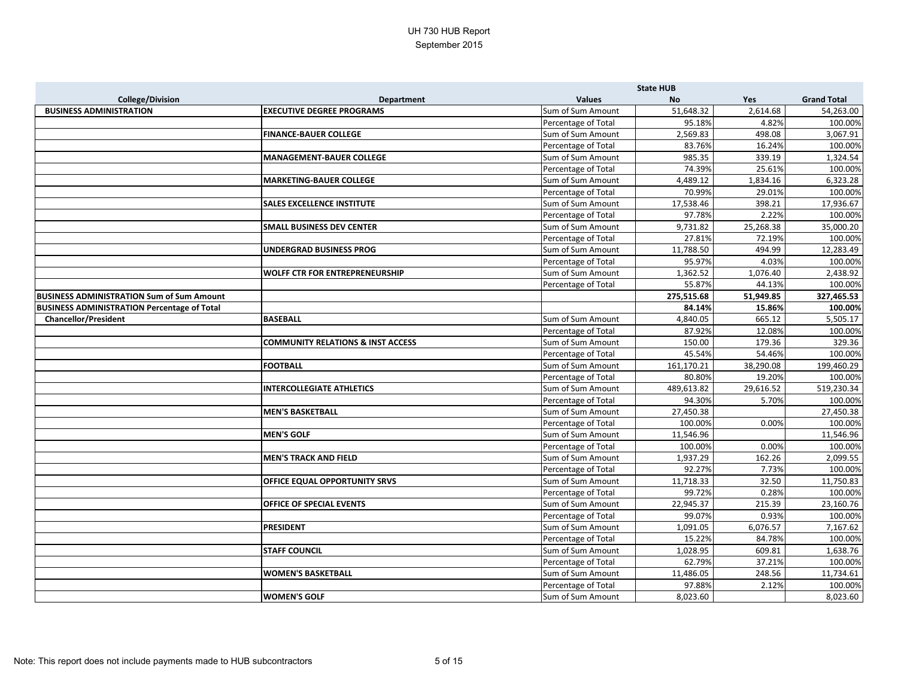|                                                    |                                              |                     | <b>State HUB</b> |           |                    |
|----------------------------------------------------|----------------------------------------------|---------------------|------------------|-----------|--------------------|
| <b>College/Division</b>                            | <b>Department</b>                            | <b>Values</b>       | <b>No</b>        | Yes       | <b>Grand Total</b> |
| <b>BUSINESS ADMINISTRATION</b>                     | <b>EXECUTIVE DEGREE PROGRAMS</b>             | Sum of Sum Amount   | 51,648.32        | 2,614.68  | 54,263.00          |
|                                                    |                                              | Percentage of Total | 95.18%           | 4.82%     | 100.00%            |
|                                                    | <b>FINANCE-BAUER COLLEGE</b>                 | Sum of Sum Amount   | 2,569.83         | 498.08    | 3,067.91           |
|                                                    |                                              | Percentage of Total | 83.76%           | 16.24%    | 100.00%            |
|                                                    | <b>MANAGEMENT-BAUER COLLEGE</b>              | Sum of Sum Amount   | 985.35           | 339.19    | 1,324.54           |
|                                                    |                                              | Percentage of Total | 74.39%           | 25.61%    | 100.00%            |
|                                                    | <b>MARKETING-BAUER COLLEGE</b>               | Sum of Sum Amount   | 4,489.12         | 1,834.16  | 6,323.28           |
|                                                    |                                              | Percentage of Total | 70.99%           | 29.01%    | 100.00%            |
|                                                    | <b>SALES EXCELLENCE INSTITUTE</b>            | Sum of Sum Amount   | 17,538.46        | 398.21    | 17,936.67          |
|                                                    |                                              | Percentage of Total | 97.78%           | 2.22%     | 100.00%            |
|                                                    | <b>SMALL BUSINESS DEV CENTER</b>             | Sum of Sum Amount   | 9,731.82         | 25,268.38 | 35,000.20          |
|                                                    |                                              | Percentage of Total | 27.81%           | 72.19%    | 100.00%            |
|                                                    | <b>UNDERGRAD BUSINESS PROG</b>               | Sum of Sum Amount   | 11,788.50        | 494.99    | 12,283.49          |
|                                                    |                                              | Percentage of Total | 95.97%           | 4.03%     | 100.00%            |
|                                                    | <b>WOLFF CTR FOR ENTREPRENEURSHIP</b>        | Sum of Sum Amount   | 1,362.52         | 1,076.40  | 2,438.92           |
|                                                    |                                              | Percentage of Total | 55.87%           | 44.13%    | 100.00%            |
| <b>BUSINESS ADMINISTRATION Sum of Sum Amount</b>   |                                              |                     | 275,515.68       | 51,949.85 | 327,465.53         |
| <b>BUSINESS ADMINISTRATION Percentage of Total</b> |                                              |                     | 84.14%           | 15.86%    | 100.00%            |
| <b>Chancellor/President</b>                        | <b>BASEBALL</b>                              | Sum of Sum Amount   | 4,840.05         | 665.12    | 5,505.17           |
|                                                    |                                              | Percentage of Total | 87.92%           | 12.08%    | 100.00%            |
|                                                    | <b>COMMUNITY RELATIONS &amp; INST ACCESS</b> | Sum of Sum Amount   | 150.00           | 179.36    | 329.36             |
|                                                    |                                              | Percentage of Total | 45.54%           | 54.46%    | 100.00%            |
|                                                    | <b>FOOTBALL</b>                              | Sum of Sum Amount   | 161,170.21       | 38,290.08 | 199,460.29         |
|                                                    |                                              | Percentage of Total | 80.80%           | 19.20%    | 100.00%            |
|                                                    | <b>INTERCOLLEGIATE ATHLETICS</b>             | Sum of Sum Amount   | 489,613.82       | 29,616.52 | 519,230.34         |
|                                                    |                                              | Percentage of Total | 94.30%           | 5.70%     | 100.00%            |
|                                                    | <b>MEN'S BASKETBALL</b>                      | Sum of Sum Amount   | 27,450.38        |           | 27,450.38          |
|                                                    |                                              | Percentage of Total | 100.00%          | 0.00%     | 100.00%            |
|                                                    | <b>MEN'S GOLF</b>                            | Sum of Sum Amount   | 11,546.96        |           | 11,546.96          |
|                                                    |                                              | Percentage of Total | 100.00%          | 0.00%     | 100.00%            |
|                                                    | <b>MEN'S TRACK AND FIELD</b>                 | Sum of Sum Amount   | 1,937.29         | 162.26    | 2,099.55           |
|                                                    |                                              | Percentage of Total | 92.27%           | 7.73%     | 100.00%            |
|                                                    | OFFICE EQUAL OPPORTUNITY SRVS                | Sum of Sum Amount   | 11,718.33        | 32.50     | 11,750.83          |
|                                                    |                                              | Percentage of Total | 99.72%           | 0.28%     | 100.00%            |
|                                                    | <b>OFFICE OF SPECIAL EVENTS</b>              | Sum of Sum Amount   | 22,945.37        | 215.39    | 23,160.76          |
|                                                    |                                              | Percentage of Total | 99.07%           | 0.93%     | 100.00%            |
|                                                    | <b>PRESIDENT</b>                             | Sum of Sum Amount   | 1,091.05         | 6,076.57  | 7,167.62           |
|                                                    |                                              | Percentage of Total | 15.22%           | 84.78%    | 100.00%            |
|                                                    | <b>STAFF COUNCIL</b>                         | Sum of Sum Amount   | 1,028.95         | 609.81    | 1,638.76           |
|                                                    |                                              | Percentage of Total | 62.79%           | 37.21%    | 100.00%            |
|                                                    | <b>WOMEN'S BASKETBALL</b>                    | Sum of Sum Amount   | 11,486.05        | 248.56    | 11,734.61          |
|                                                    |                                              | Percentage of Total | 97.88%           | 2.12%     | 100.00%            |
|                                                    | <b>WOMEN'S GOLF</b>                          | Sum of Sum Amount   | 8,023.60         |           | 8,023.60           |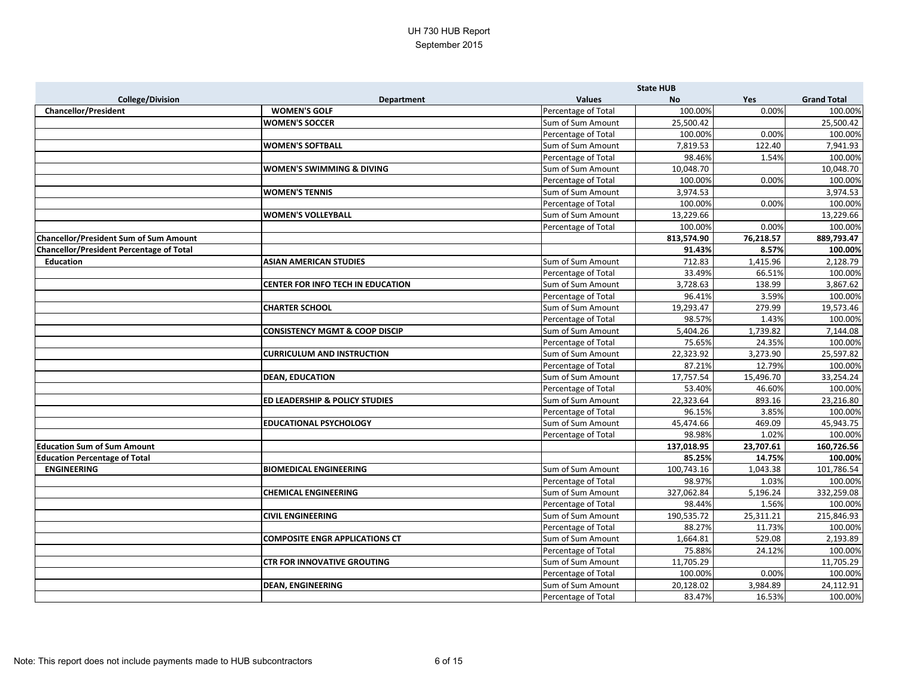|                                                 |                                           |                     | <b>State HUB</b> |           |                    |
|-------------------------------------------------|-------------------------------------------|---------------------|------------------|-----------|--------------------|
| <b>College/Division</b>                         | <b>Department</b>                         | <b>Values</b>       | <b>No</b>        | Yes       | <b>Grand Total</b> |
| <b>Chancellor/President</b>                     | <b>WOMEN'S GOLF</b>                       | Percentage of Total | 100.00%          | 0.00%     | 100.00%            |
|                                                 | <b>WOMEN'S SOCCER</b>                     | Sum of Sum Amount   | 25,500.42        |           | 25,500.42          |
|                                                 |                                           | Percentage of Total | 100.00%          | 0.00%     | 100.00%            |
|                                                 | <b>WOMEN'S SOFTBALL</b>                   | Sum of Sum Amount   | 7,819.53         | 122.40    | 7,941.93           |
|                                                 |                                           | Percentage of Total | 98.46%           | 1.54%     | 100.00%            |
|                                                 | <b>WOMEN'S SWIMMING &amp; DIVING</b>      | Sum of Sum Amount   | 10,048.70        |           | 10,048.70          |
|                                                 |                                           | Percentage of Total | 100.00%          | 0.00%     | 100.00%            |
|                                                 | <b>WOMEN'S TENNIS</b>                     | Sum of Sum Amount   | 3,974.53         |           | 3,974.53           |
|                                                 |                                           | Percentage of Total | 100.00%          | 0.00%     | 100.00%            |
|                                                 | <b>WOMEN'S VOLLEYBALL</b>                 | Sum of Sum Amount   | 13,229.66        |           | 13,229.66          |
|                                                 |                                           | Percentage of Total | 100.00%          | 0.00%     | 100.00%            |
| <b>Chancellor/President Sum of Sum Amount</b>   |                                           |                     | 813,574.90       | 76,218.57 | 889,793.47         |
| <b>Chancellor/President Percentage of Total</b> |                                           |                     | 91.43%           | 8.57%     | 100.00%            |
| <b>Education</b>                                | <b>ASIAN AMERICAN STUDIES</b>             | Sum of Sum Amount   | 712.83           | 1,415.96  | 2,128.79           |
|                                                 |                                           | Percentage of Total | 33.49%           | 66.51%    | 100.00%            |
|                                                 | <b>CENTER FOR INFO TECH IN EDUCATION</b>  | Sum of Sum Amount   | 3,728.63         | 138.99    | 3,867.62           |
|                                                 |                                           | Percentage of Total | 96.41%           | 3.59%     | 100.00%            |
|                                                 | <b>CHARTER SCHOOL</b>                     | Sum of Sum Amount   | 19,293.47        | 279.99    | 19,573.46          |
|                                                 |                                           | Percentage of Total | 98.57%           | 1.43%     | 100.00%            |
|                                                 | <b>CONSISTENCY MGMT &amp; COOP DISCIP</b> | Sum of Sum Amount   | 5,404.26         | 1,739.82  | 7,144.08           |
|                                                 |                                           | Percentage of Total | 75.65%           | 24.35%    | 100.00%            |
|                                                 | <b>CURRICULUM AND INSTRUCTION</b>         | Sum of Sum Amount   | 22,323.92        | 3,273.90  | 25,597.82          |
|                                                 |                                           | Percentage of Total | 87.21%           | 12.79%    | 100.00%            |
|                                                 | <b>DEAN, EDUCATION</b>                    | Sum of Sum Amount   | 17,757.54        | 15,496.70 | 33,254.24          |
|                                                 |                                           | Percentage of Total | 53.40%           | 46.60%    | 100.00%            |
|                                                 | <b>ED LEADERSHIP &amp; POLICY STUDIES</b> | Sum of Sum Amount   | 22,323.64        | 893.16    | 23,216.80          |
|                                                 |                                           | Percentage of Total | 96.15%           | 3.85%     | 100.00%            |
|                                                 | <b>EDUCATIONAL PSYCHOLOGY</b>             | Sum of Sum Amount   | 45,474.66        | 469.09    | 45,943.75          |
|                                                 |                                           | Percentage of Total | 98.98%           | 1.02%     | 100.00%            |
| <b>Education Sum of Sum Amount</b>              |                                           |                     | 137,018.95       | 23,707.61 | 160,726.56         |
| <b>Education Percentage of Total</b>            |                                           |                     | 85.25%           | 14.75%    | 100.00%            |
| <b>ENGINEERING</b>                              | <b>BIOMEDICAL ENGINEERING</b>             | Sum of Sum Amount   | 100,743.16       | 1,043.38  | 101,786.54         |
|                                                 |                                           | Percentage of Total | 98.97%           | 1.03%     | 100.00%            |
|                                                 | CHEMICAL ENGINEERING                      | Sum of Sum Amount   | 327,062.84       | 5,196.24  | 332,259.08         |
|                                                 |                                           | Percentage of Total | 98.44%           | 1.56%     | 100.00%            |
|                                                 | <b>CIVIL ENGINEERING</b>                  | Sum of Sum Amount   | 190,535.72       | 25,311.21 | 215,846.93         |
|                                                 |                                           | Percentage of Total | 88.27%           | 11.73%    | 100.00%            |
|                                                 | <b>COMPOSITE ENGR APPLICATIONS CT</b>     | Sum of Sum Amount   | 1,664.81         | 529.08    | 2,193.89           |
|                                                 |                                           | Percentage of Total | 75.88%           | 24.12%    | 100.00%            |
|                                                 | <b>CTR FOR INNOVATIVE GROUTING</b>        | Sum of Sum Amount   | 11,705.29        |           | 11,705.29          |
|                                                 |                                           | Percentage of Total | 100.00%          | 0.00%     | 100.00%            |
|                                                 | <b>DEAN, ENGINEERING</b>                  | Sum of Sum Amount   | 20,128.02        | 3,984.89  | 24,112.91          |
|                                                 |                                           | Percentage of Total | 83.47%           | 16.53%    | 100.00%            |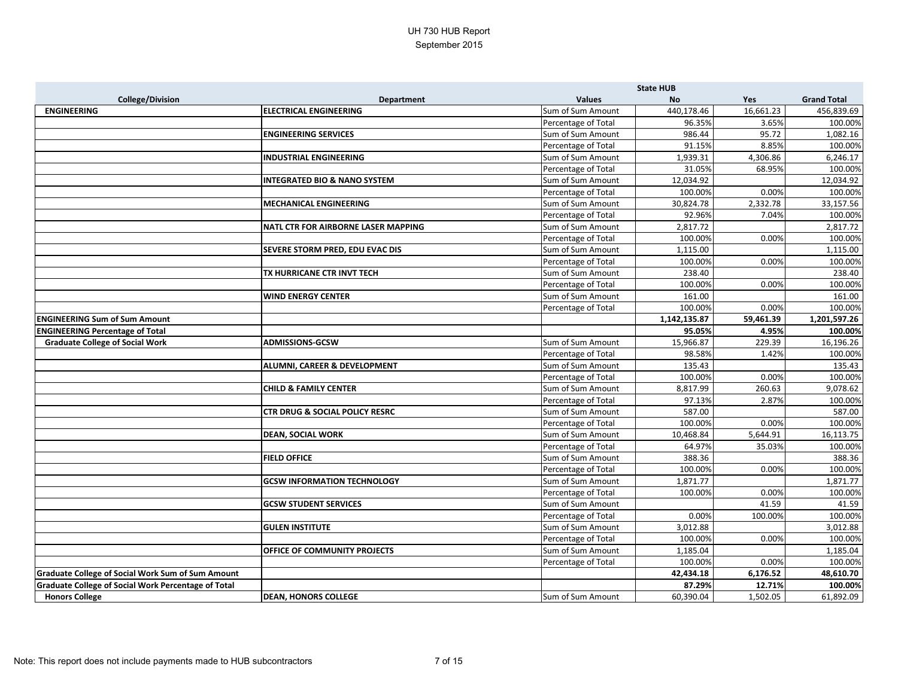|                                                            |                                           |                     | <b>State HUB</b> |           |                    |
|------------------------------------------------------------|-------------------------------------------|---------------------|------------------|-----------|--------------------|
| <b>College/Division</b>                                    | <b>Department</b>                         | <b>Values</b>       | <b>No</b>        | Yes       | <b>Grand Total</b> |
| <b>ENGINEERING</b>                                         | <b>ELECTRICAL ENGINEERING</b>             | Sum of Sum Amount   | 440,178.46       | 16,661.23 | 456,839.69         |
|                                                            |                                           | Percentage of Total | 96.35%           | 3.65%     | 100.00%            |
|                                                            | <b>ENGINEERING SERVICES</b>               | Sum of Sum Amount   | 986.44           | 95.72     | 1,082.16           |
|                                                            |                                           | Percentage of Total | 91.15%           | 8.85%     | 100.00%            |
|                                                            | <b>INDUSTRIAL ENGINEERING</b>             | Sum of Sum Amount   | 1,939.31         | 4,306.86  | 6,246.17           |
|                                                            |                                           | Percentage of Total | 31.05%           | 68.95%    | 100.00%            |
|                                                            | <b>INTEGRATED BIO &amp; NANO SYSTEM</b>   | Sum of Sum Amount   | 12,034.92        |           | 12,034.92          |
|                                                            |                                           | Percentage of Total | 100.00%          | 0.00%     | 100.00%            |
|                                                            | <b>MECHANICAL ENGINEERING</b>             | Sum of Sum Amount   | 30,824.78        | 2,332.78  | 33,157.56          |
|                                                            |                                           | Percentage of Total | 92.96%           | 7.04%     | 100.00%            |
|                                                            | NATL CTR FOR AIRBORNE LASER MAPPING       | Sum of Sum Amount   | 2,817.72         |           | 2,817.72           |
|                                                            |                                           | Percentage of Total | 100.00%          | 0.00%     | 100.00%            |
|                                                            | SEVERE STORM PRED, EDU EVAC DIS           | Sum of Sum Amount   | 1,115.00         |           | 1,115.00           |
|                                                            |                                           | Percentage of Total | 100.00%          | 0.00%     | 100.00%            |
|                                                            | TX HURRICANE CTR INVT TECH                | Sum of Sum Amount   | 238.40           |           | 238.40             |
|                                                            |                                           | Percentage of Total | 100.00%          | 0.00%     | 100.00%            |
|                                                            | <b>WIND ENERGY CENTER</b>                 | Sum of Sum Amount   | 161.00           |           | 161.00             |
|                                                            |                                           | Percentage of Total | 100.00%          | 0.00%     | 100.00%            |
| <b>ENGINEERING Sum of Sum Amount</b>                       |                                           |                     | 1,142,135.87     | 59,461.39 | 1,201,597.26       |
| <b>ENGINEERING Percentage of Total</b>                     |                                           |                     | 95.05%           | 4.95%     | 100.00%            |
| <b>Graduate College of Social Work</b>                     | <b>ADMISSIONS-GCSW</b>                    | Sum of Sum Amount   | 15,966.87        | 229.39    | 16,196.26          |
|                                                            |                                           | Percentage of Total | 98.58%           | 1.42%     | 100.00%            |
|                                                            | ALUMNI, CAREER & DEVELOPMENT              | Sum of Sum Amount   | 135.43           |           | 135.43             |
|                                                            |                                           | Percentage of Total | 100.00%          | 0.00%     | 100.00%            |
|                                                            | <b>CHILD &amp; FAMILY CENTER</b>          | Sum of Sum Amount   | 8,817.99         | 260.63    | 9,078.62           |
|                                                            |                                           | Percentage of Total | 97.13%           | 2.87%     | 100.00%            |
|                                                            | <b>CTR DRUG &amp; SOCIAL POLICY RESRC</b> | Sum of Sum Amount   | 587.00           |           | 587.00             |
|                                                            |                                           | Percentage of Total | 100.00%          | 0.00%     | 100.00%            |
|                                                            | <b>DEAN, SOCIAL WORK</b>                  | Sum of Sum Amount   | 10,468.84        | 5,644.91  | 16,113.75          |
|                                                            |                                           | Percentage of Total | 64.97%           | 35.03%    | 100.00%            |
|                                                            | <b>FIELD OFFICE</b>                       | Sum of Sum Amount   | 388.36           |           | 388.36             |
|                                                            |                                           | Percentage of Total | 100.00%          | 0.00%     | 100.00%            |
|                                                            | <b>GCSW INFORMATION TECHNOLOGY</b>        | Sum of Sum Amount   | 1,871.77         |           | 1,871.77           |
|                                                            |                                           | Percentage of Total | 100.00%          | 0.00%     | 100.00%            |
|                                                            | <b>GCSW STUDENT SERVICES</b>              | Sum of Sum Amount   |                  | 41.59     | 41.59              |
|                                                            |                                           | Percentage of Total | 0.00%            | 100.00%   | 100.00%            |
|                                                            | <b>GULEN INSTITUTE</b>                    | Sum of Sum Amount   | 3,012.88         |           | 3,012.88           |
|                                                            |                                           | Percentage of Total | 100.00%          | 0.00%     | 100.00%            |
|                                                            | OFFICE OF COMMUNITY PROJECTS              | Sum of Sum Amount   | 1,185.04         |           | 1,185.04           |
|                                                            |                                           | Percentage of Total | 100.00%          | 0.00%     | 100.00%            |
| <b>Graduate College of Social Work Sum of Sum Amount</b>   |                                           |                     | 42,434.18        | 6,176.52  | 48,610.70          |
| <b>Graduate College of Social Work Percentage of Total</b> |                                           |                     | 87.29%           | 12.71%    | 100.00%            |
| <b>Honors College</b>                                      | <b>DEAN, HONORS COLLEGE</b>               | Sum of Sum Amount   | 60,390.04        | 1,502.05  | 61,892.09          |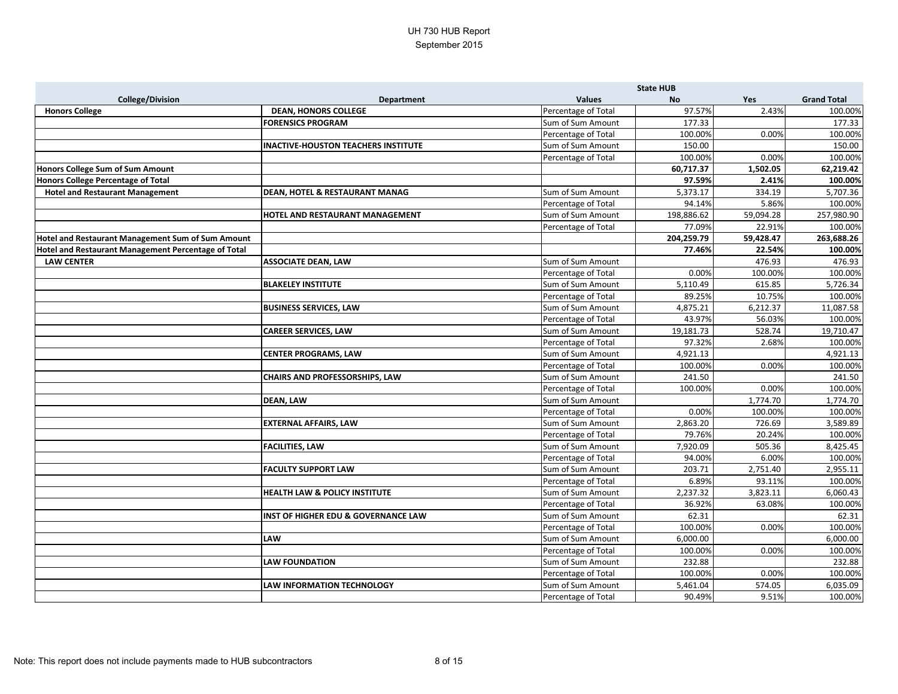|                                                     |                                                |                     | <b>State HUB</b> |           |                    |
|-----------------------------------------------------|------------------------------------------------|---------------------|------------------|-----------|--------------------|
| <b>College/Division</b>                             | <b>Department</b>                              | <b>Values</b>       | <b>No</b>        | Yes       | <b>Grand Total</b> |
| <b>Honors College</b>                               | <b>DEAN, HONORS COLLEGE</b>                    | Percentage of Total | 97.57%           | 2.43%     | 100.00%            |
|                                                     | <b>FORENSICS PROGRAM</b>                       | Sum of Sum Amount   | 177.33           |           | 177.33             |
|                                                     |                                                | Percentage of Total | 100.00%          | 0.00%     | 100.00%            |
|                                                     | <b>INACTIVE-HOUSTON TEACHERS INSTITUTE</b>     | Sum of Sum Amount   | 150.00           |           | 150.00             |
|                                                     |                                                | Percentage of Total | 100.00%          | 0.00%     | 100.00%            |
| Honors College Sum of Sum Amount                    |                                                |                     | 60,717.37        | 1,502.05  | 62,219.42          |
| Honors College Percentage of Total                  |                                                |                     | 97.59%           | 2.41%     | 100.00%            |
| <b>Hotel and Restaurant Management</b>              | <b>DEAN, HOTEL &amp; RESTAURANT MANAG</b>      | Sum of Sum Amount   | 5,373.17         | 334.19    | 5,707.36           |
|                                                     |                                                | Percentage of Total | 94.14%           | 5.86%     | 100.00%            |
|                                                     | HOTEL AND RESTAURANT MANAGEMENT                | Sum of Sum Amount   | 198,886.62       | 59,094.28 | 257,980.90         |
|                                                     |                                                | Percentage of Total | 77.09%           | 22.91%    | 100.00%            |
| Hotel and Restaurant Management Sum of Sum Amount   |                                                |                     | 204,259.79       | 59,428.47 | 263,688.26         |
| Hotel and Restaurant Management Percentage of Total |                                                |                     | 77.46%           | 22.54%    | 100.00%            |
| <b>LAW CENTER</b>                                   | <b>ASSOCIATE DEAN, LAW</b>                     | Sum of Sum Amount   |                  | 476.93    | 476.93             |
|                                                     |                                                | Percentage of Total | 0.00%            | 100.00%   | 100.00%            |
|                                                     | <b>BLAKELEY INSTITUTE</b>                      | Sum of Sum Amount   | 5,110.49         | 615.85    | 5,726.34           |
|                                                     |                                                | Percentage of Total | 89.25%           | 10.75%    | 100.00%            |
|                                                     | <b>BUSINESS SERVICES, LAW</b>                  | Sum of Sum Amount   | 4,875.21         | 6,212.37  | 11,087.58          |
|                                                     |                                                | Percentage of Total | 43.97%           | 56.03%    | 100.00%            |
|                                                     | <b>CAREER SERVICES, LAW</b>                    | Sum of Sum Amount   | 19,181.73        | 528.74    | 19,710.47          |
|                                                     |                                                | Percentage of Total | 97.32%           | 2.68%     | 100.00%            |
|                                                     | <b>CENTER PROGRAMS, LAW</b>                    | Sum of Sum Amount   | 4,921.13         |           | 4,921.13           |
|                                                     |                                                | Percentage of Total | 100.00%          | 0.00%     | 100.00%            |
|                                                     | <b>CHAIRS AND PROFESSORSHIPS, LAW</b>          | Sum of Sum Amount   | 241.50           |           | 241.50             |
|                                                     |                                                | Percentage of Total | 100.00%          | 0.00%     | 100.00%            |
|                                                     | <b>DEAN, LAW</b>                               | Sum of Sum Amount   |                  | 1,774.70  | 1,774.70           |
|                                                     |                                                | Percentage of Total | 0.00%            | 100.00%   | 100.00%            |
|                                                     | <b>EXTERNAL AFFAIRS, LAW</b>                   | Sum of Sum Amount   | 2,863.20         | 726.69    | 3,589.89           |
|                                                     |                                                | Percentage of Total | 79.76%           | 20.24%    | 100.00%            |
|                                                     | <b>FACILITIES, LAW</b>                         | Sum of Sum Amount   | 7,920.09         | 505.36    | 8,425.45           |
|                                                     |                                                | Percentage of Total | 94.00%           | 6.00%     | 100.00%            |
|                                                     | <b>FACULTY SUPPORT LAW</b>                     | Sum of Sum Amount   | 203.71           | 2,751.40  | 2,955.11           |
|                                                     |                                                | Percentage of Total | 6.89%            | 93.11%    | 100.00%            |
|                                                     | HEALTH LAW & POLICY INSTITUTE                  | Sum of Sum Amount   | 2,237.32         | 3,823.11  | 6,060.43           |
|                                                     |                                                | Percentage of Total | 36.92%           | 63.08%    | 100.00%            |
|                                                     | <b>INST OF HIGHER EDU &amp; GOVERNANCE LAW</b> | Sum of Sum Amount   | 62.31            |           | 62.31              |
|                                                     |                                                | Percentage of Total | 100.00%          | 0.00%     | 100.00%            |
|                                                     | <b>LAW</b>                                     | Sum of Sum Amount   | 6,000.00         |           | 6,000.00           |
|                                                     |                                                | Percentage of Total | 100.00%          | 0.00%     | 100.00%            |
|                                                     | <b>LAW FOUNDATION</b>                          | Sum of Sum Amount   | 232.88           |           | 232.88             |
|                                                     |                                                | Percentage of Total | 100.00%          | 0.00%     | 100.00%            |
|                                                     | LAW INFORMATION TECHNOLOGY                     | Sum of Sum Amount   | 5,461.04         | 574.05    | 6,035.09           |
|                                                     |                                                | Percentage of Total | 90.49%           | 9.51%     | 100.00%            |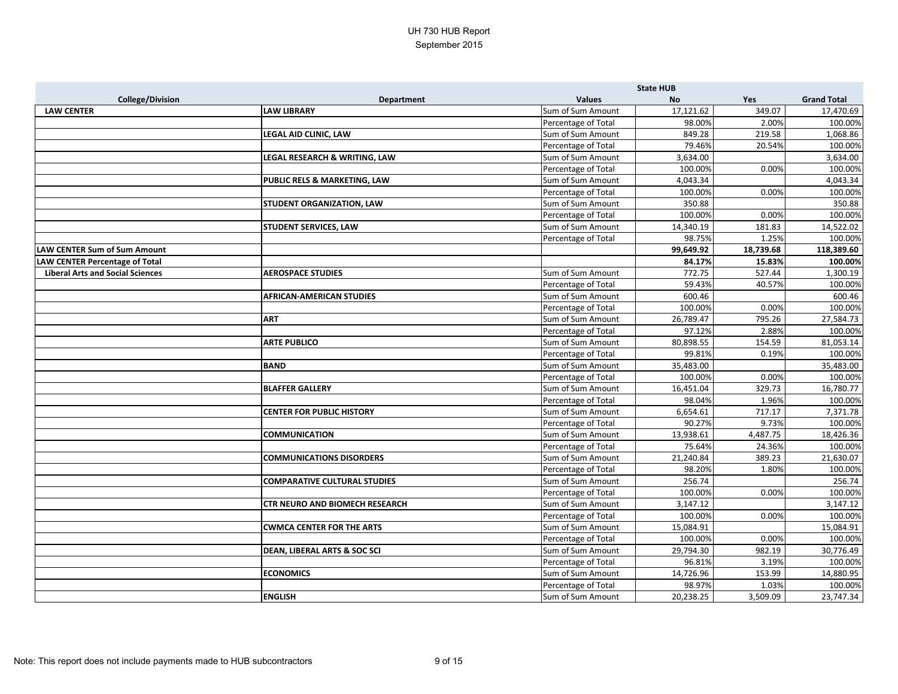|                                         |                                         |                     | <b>State HUB</b> |           |                    |
|-----------------------------------------|-----------------------------------------|---------------------|------------------|-----------|--------------------|
| <b>College/Division</b>                 | <b>Department</b>                       | <b>Values</b>       | <b>No</b>        | Yes       | <b>Grand Total</b> |
| <b>LAW CENTER</b>                       | <b>LAW LIBRARY</b>                      | Sum of Sum Amount   | 17,121.62        | 349.07    | 17,470.69          |
|                                         |                                         | Percentage of Total | 98.00%           | 2.00%     | 100.00%            |
|                                         | LEGAL AID CLINIC, LAW                   | Sum of Sum Amount   | 849.28           | 219.58    | 1,068.86           |
|                                         |                                         | Percentage of Total | 79.46%           | 20.54%    | 100.00%            |
|                                         | LEGAL RESEARCH & WRITING, LAW           | Sum of Sum Amount   | 3,634.00         |           | 3,634.00           |
|                                         |                                         | Percentage of Total | 100.00%          | 0.00%     | 100.00%            |
|                                         | <b>PUBLIC RELS &amp; MARKETING, LAW</b> | Sum of Sum Amount   | 4,043.34         |           | 4,043.34           |
|                                         |                                         | Percentage of Total | 100.00%          | 0.00%     | 100.00%            |
|                                         | <b>STUDENT ORGANIZATION, LAW</b>        | Sum of Sum Amount   | 350.88           |           | 350.88             |
|                                         |                                         | Percentage of Total | 100.00%          | 0.00%     | 100.00%            |
|                                         | <b>STUDENT SERVICES, LAW</b>            | Sum of Sum Amount   | 14,340.19        | 181.83    | 14,522.02          |
|                                         |                                         | Percentage of Total | 98.75%           | 1.25%     | 100.00%            |
| <b>LAW CENTER Sum of Sum Amount</b>     |                                         |                     | 99,649.92        | 18,739.68 | 118,389.60         |
| <b>LAW CENTER Percentage of Total</b>   |                                         |                     | 84.17%           | 15.83%    | 100.00%            |
| <b>Liberal Arts and Social Sciences</b> | <b>AEROSPACE STUDIES</b>                | Sum of Sum Amount   | 772.75           | 527.44    | 1,300.19           |
|                                         |                                         | Percentage of Total | 59.43%           | 40.57%    | 100.00%            |
|                                         | <b>AFRICAN-AMERICAN STUDIES</b>         | Sum of Sum Amount   | 600.46           |           | 600.46             |
|                                         |                                         | Percentage of Total | 100.00%          | 0.00%     | 100.00%            |
|                                         | <b>ART</b>                              | Sum of Sum Amount   | 26,789.47        | 795.26    | 27,584.73          |
|                                         |                                         | Percentage of Total | 97.12%           | 2.88%     | 100.00%            |
|                                         | <b>ARTE PUBLICO</b>                     | Sum of Sum Amount   | 80,898.55        | 154.59    | 81,053.14          |
|                                         |                                         | Percentage of Total | 99.81%           | 0.19%     | 100.00%            |
|                                         | <b>BAND</b>                             | Sum of Sum Amount   | 35,483.00        |           | 35,483.00          |
|                                         |                                         | Percentage of Total | 100.00%          | 0.00%     | 100.00%            |
|                                         | <b>BLAFFER GALLERY</b>                  | Sum of Sum Amount   | 16,451.04        | 329.73    | 16,780.77          |
|                                         |                                         | Percentage of Total | 98.04%           | 1.96%     | 100.00%            |
|                                         | <b>CENTER FOR PUBLIC HISTORY</b>        | Sum of Sum Amount   | 6,654.61         | 717.17    | 7,371.78           |
|                                         |                                         | Percentage of Total | 90.27%           | 9.73%     | 100.00%            |
|                                         | <b>COMMUNICATION</b>                    | Sum of Sum Amount   | 13,938.61        | 4,487.75  | 18,426.36          |
|                                         |                                         | Percentage of Total | 75.64%           | 24.36%    | 100.00%            |
|                                         | <b>COMMUNICATIONS DISORDERS</b>         | Sum of Sum Amount   | 21,240.84        | 389.23    | 21,630.07          |
|                                         |                                         | Percentage of Total | 98.20%           | 1.80%     | 100.00%            |
|                                         | <b>COMPARATIVE CULTURAL STUDIES</b>     | Sum of Sum Amount   | 256.74           |           | 256.74             |
|                                         |                                         | Percentage of Total | 100.00%          | 0.00%     | 100.00%            |
|                                         | <b>CTR NEURO AND BIOMECH RESEARCH</b>   | Sum of Sum Amount   | 3,147.12         |           | 3,147.12           |
|                                         |                                         | Percentage of Total | 100.00%          | 0.00%     | 100.00%            |
|                                         | <b>CWMCA CENTER FOR THE ARTS</b>        | Sum of Sum Amount   | 15,084.91        |           | 15,084.91          |
|                                         |                                         | Percentage of Total | 100.00%          | 0.00%     | 100.00%            |
|                                         | <b>DEAN, LIBERAL ARTS &amp; SOC SCI</b> | Sum of Sum Amount   | 29,794.30        | 982.19    | 30,776.49          |
|                                         |                                         | Percentage of Total | 96.81%           | 3.19%     | 100.00%            |
|                                         | <b>ECONOMICS</b>                        | Sum of Sum Amount   | 14,726.96        | 153.99    | 14,880.95          |
|                                         |                                         | Percentage of Total | 98.97%           | 1.03%     | 100.00%            |
|                                         | <b>ENGLISH</b>                          | Sum of Sum Amount   | 20,238.25        | 3,509.09  | 23,747.34          |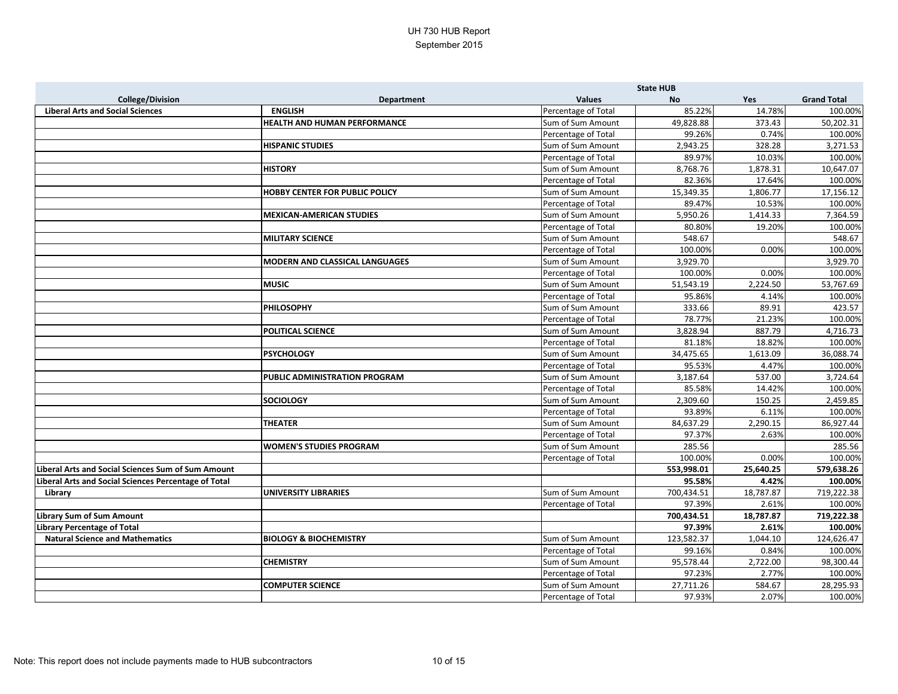|                                                      |                                       |                     | <b>State HUB</b> |           |                    |
|------------------------------------------------------|---------------------------------------|---------------------|------------------|-----------|--------------------|
| <b>College/Division</b>                              | <b>Department</b>                     | <b>Values</b>       | <b>No</b>        | Yes       | <b>Grand Total</b> |
| <b>Liberal Arts and Social Sciences</b>              | <b>ENGLISH</b>                        | Percentage of Total | 85.22%           | 14.78%    | 100.00%            |
|                                                      | HEALTH AND HUMAN PERFORMANCE          | Sum of Sum Amount   | 49,828.88        | 373.43    | 50,202.31          |
|                                                      |                                       | Percentage of Total | 99.26%           | 0.74%     | 100.00%            |
|                                                      | <b>HISPANIC STUDIES</b>               | Sum of Sum Amount   | 2,943.25         | 328.28    | 3,271.53           |
|                                                      |                                       | Percentage of Total | 89.97%           | 10.03%    | 100.00%            |
|                                                      | <b>HISTORY</b>                        | Sum of Sum Amount   | 8,768.76         | 1,878.31  | 10,647.07          |
|                                                      |                                       | Percentage of Total | 82.36%           | 17.64%    | 100.00%            |
|                                                      | <b>HOBBY CENTER FOR PUBLIC POLICY</b> | Sum of Sum Amount   | 15,349.35        | 1,806.77  | 17,156.12          |
|                                                      |                                       | Percentage of Total | 89.47%           | 10.53%    | 100.00%            |
|                                                      | <b>MEXICAN-AMERICAN STUDIES</b>       | Sum of Sum Amount   | 5,950.26         | 1,414.33  | 7,364.59           |
|                                                      |                                       | Percentage of Total | 80.80%           | 19.20%    | 100.00%            |
|                                                      | <b>MILITARY SCIENCE</b>               | Sum of Sum Amount   | 548.67           |           | 548.67             |
|                                                      |                                       | Percentage of Total | 100.00%          | 0.00%     | 100.00%            |
|                                                      | <b>MODERN AND CLASSICAL LANGUAGES</b> | Sum of Sum Amount   | 3,929.70         |           | 3,929.70           |
|                                                      |                                       | Percentage of Total | 100.00%          | 0.00%     | 100.00%            |
|                                                      | <b>MUSIC</b>                          | Sum of Sum Amount   | 51,543.19        | 2,224.50  | 53,767.69          |
|                                                      |                                       | Percentage of Total | 95.86%           | 4.14%     | 100.00%            |
|                                                      | <b>PHILOSOPHY</b>                     | Sum of Sum Amount   | 333.66           | 89.91     | 423.57             |
|                                                      |                                       | Percentage of Total | 78.77%           | 21.23%    | 100.00%            |
|                                                      | <b>POLITICAL SCIENCE</b>              | Sum of Sum Amount   | 3,828.94         | 887.79    | 4,716.73           |
|                                                      |                                       | Percentage of Total | 81.18%           | 18.82%    | 100.00%            |
|                                                      | <b>PSYCHOLOGY</b>                     | Sum of Sum Amount   | 34,475.65        | 1,613.09  | 36,088.74          |
|                                                      |                                       | Percentage of Total | 95.53%           | 4.47%     | 100.00%            |
|                                                      | PUBLIC ADMINISTRATION PROGRAM         | Sum of Sum Amount   | 3,187.64         | 537.00    | 3,724.64           |
|                                                      |                                       | Percentage of Total | 85.58%           | 14.42%    | 100.00%            |
|                                                      | <b>SOCIOLOGY</b>                      | Sum of Sum Amount   | 2,309.60         | 150.25    | 2,459.85           |
|                                                      |                                       | Percentage of Total | 93.89%           | 6.11%     | 100.00%            |
|                                                      | <b>THEATER</b>                        | Sum of Sum Amount   | 84,637.29        | 2,290.15  | 86,927.44          |
|                                                      |                                       | Percentage of Total | 97.37%           | 2.63%     | 100.00%            |
|                                                      | <b>WOMEN'S STUDIES PROGRAM</b>        | Sum of Sum Amount   | 285.56           |           | 285.56             |
|                                                      |                                       | Percentage of Total | 100.00%          | 0.00%     | 100.00%            |
| Liberal Arts and Social Sciences Sum of Sum Amount   |                                       |                     | 553,998.01       | 25,640.25 | 579,638.26         |
| Liberal Arts and Social Sciences Percentage of Total |                                       |                     | 95.58%           | 4.42%     | 100.00%            |
| Library                                              | <b>UNIVERSITY LIBRARIES</b>           | Sum of Sum Amount   | 700,434.51       | 18,787.87 | 719,222.38         |
|                                                      |                                       | Percentage of Total | 97.39%           | 2.61%     | 100.00%            |
| <b>Library Sum of Sum Amount</b>                     |                                       |                     | 700,434.51       | 18,787.87 | 719,222.38         |
| Library Percentage of Total                          |                                       |                     | 97.39%           | 2.61%     | 100.00%            |
| <b>Natural Science and Mathematics</b>               | <b>BIOLOGY &amp; BIOCHEMISTRY</b>     | Sum of Sum Amount   | 123,582.37       | 1,044.10  | 124,626.47         |
|                                                      |                                       | Percentage of Total | 99.16%           | 0.84%     | 100.00%            |
|                                                      | <b>CHEMISTRY</b>                      | Sum of Sum Amount   | 95,578.44        | 2,722.00  | 98,300.44          |
|                                                      |                                       | Percentage of Total | 97.23%           | 2.77%     | 100.00%            |
|                                                      | <b>COMPUTER SCIENCE</b>               | Sum of Sum Amount   | 27,711.26        | 584.67    | 28,295.93          |
|                                                      |                                       | Percentage of Total | 97.93%           | 2.07%     | 100.00%            |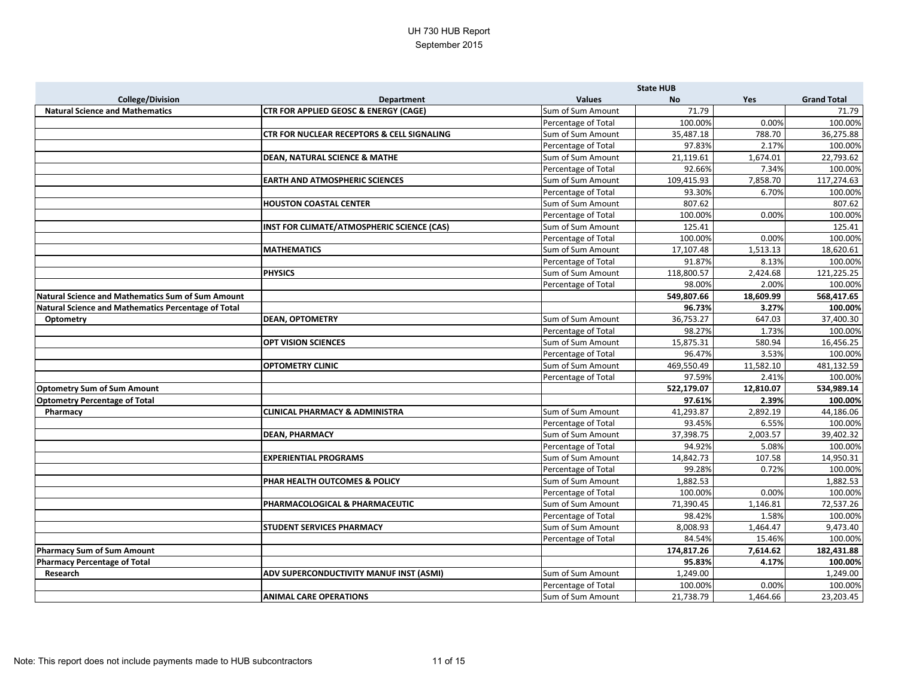|                                                          |                                                       |                     | <b>State HUB</b> |           |                    |
|----------------------------------------------------------|-------------------------------------------------------|---------------------|------------------|-----------|--------------------|
| <b>College/Division</b>                                  | <b>Department</b>                                     | <b>Values</b>       | <b>No</b>        | Yes       | <b>Grand Total</b> |
| <b>Natural Science and Mathematics</b>                   | <b>CTR FOR APPLIED GEOSC &amp; ENERGY (CAGE)</b>      | Sum of Sum Amount   | 71.79            |           | 71.79              |
|                                                          |                                                       | Percentage of Total | 100.00%          | 0.00%     | 100.00%            |
|                                                          | <b>CTR FOR NUCLEAR RECEPTORS &amp; CELL SIGNALING</b> | Sum of Sum Amount   | 35,487.18        | 788.70    | 36,275.88          |
|                                                          |                                                       | Percentage of Total | 97.83%           | 2.17%     | 100.00%            |
|                                                          | <b>DEAN, NATURAL SCIENCE &amp; MATHE</b>              | Sum of Sum Amount   | 21,119.61        | 1,674.01  | 22,793.62          |
|                                                          |                                                       | Percentage of Total | 92.66%           | 7.34%     | 100.00%            |
|                                                          | <b>EARTH AND ATMOSPHERIC SCIENCES</b>                 | Sum of Sum Amount   | 109,415.93       | 7,858.70  | 117,274.63         |
|                                                          |                                                       | Percentage of Total | 93.30%           | 6.70%     | 100.00%            |
|                                                          | <b>HOUSTON COASTAL CENTER</b>                         | Sum of Sum Amount   | 807.62           |           | 807.62             |
|                                                          |                                                       | Percentage of Total | 100.00%          | 0.00%     | 100.00%            |
|                                                          | INST FOR CLIMATE/ATMOSPHERIC SCIENCE (CAS)            | Sum of Sum Amount   | 125.41           |           | 125.41             |
|                                                          |                                                       | Percentage of Total | 100.00%          | 0.00%     | 100.00%            |
|                                                          | <b>MATHEMATICS</b>                                    | Sum of Sum Amount   | 17,107.48        | 1,513.13  | 18,620.61          |
|                                                          |                                                       | Percentage of Total | 91.87%           | 8.13%     | 100.00%            |
|                                                          | <b>PHYSICS</b>                                        | Sum of Sum Amount   | 118,800.57       | 2,424.68  | 121,225.25         |
|                                                          |                                                       | Percentage of Total | 98.00%           | 2.00%     | 100.00%            |
| <b>Natural Science and Mathematics Sum of Sum Amount</b> |                                                       |                     | 549,807.66       | 18,609.99 | 568,417.65         |
| Natural Science and Mathematics Percentage of Total      |                                                       |                     | 96.73%           | 3.27%     | 100.00%            |
| <b>Optometry</b>                                         | <b>DEAN, OPTOMETRY</b>                                | Sum of Sum Amount   | 36,753.27        | 647.03    | 37,400.30          |
|                                                          |                                                       | Percentage of Total | 98.27%           | 1.73%     | 100.00%            |
|                                                          | <b>OPT VISION SCIENCES</b>                            | Sum of Sum Amount   | 15,875.31        | 580.94    | 16,456.25          |
|                                                          |                                                       | Percentage of Total | 96.47%           | 3.53%     | 100.00%            |
|                                                          | <b>OPTOMETRY CLINIC</b>                               | Sum of Sum Amount   | 469,550.49       | 11,582.10 | 481,132.59         |
|                                                          |                                                       | Percentage of Total | 97.59%           | 2.41%     | 100.00%            |
| <b>Optometry Sum of Sum Amount</b>                       |                                                       |                     | 522,179.07       | 12,810.07 | 534,989.14         |
| <b>Optometry Percentage of Total</b>                     |                                                       |                     | 97.61%           | 2.39%     | 100.00%            |
| Pharmacy                                                 | <b>CLINICAL PHARMACY &amp; ADMINISTRA</b>             | Sum of Sum Amount   | 41,293.87        | 2,892.19  | 44,186.06          |
|                                                          |                                                       | Percentage of Total | 93.45%           | 6.55%     | 100.00%            |
|                                                          | <b>DEAN, PHARMACY</b>                                 | Sum of Sum Amount   | 37,398.75        | 2,003.57  | 39,402.32          |
|                                                          |                                                       | Percentage of Total | 94.92%           | 5.08%     | 100.00%            |
|                                                          | <b>EXPERIENTIAL PROGRAMS</b>                          | Sum of Sum Amount   | 14,842.73        | 107.58    | 14,950.31          |
|                                                          |                                                       | Percentage of Total | 99.28%           | 0.72%     | 100.00%            |
|                                                          | PHAR HEALTH OUTCOMES & POLICY                         | Sum of Sum Amount   | 1,882.53         |           | 1,882.53           |
|                                                          |                                                       | Percentage of Total | 100.00%          | 0.00%     | 100.00%            |
|                                                          | PHARMACOLOGICAL & PHARMACEUTIC                        | Sum of Sum Amount   | 71,390.45        | 1,146.81  | 72,537.26          |
|                                                          |                                                       | Percentage of Total | 98.42%           | 1.58%     | 100.00%            |
|                                                          | <b>STUDENT SERVICES PHARMACY</b>                      | Sum of Sum Amount   | 8,008.93         | 1,464.47  | 9,473.40           |
|                                                          |                                                       | Percentage of Total | 84.54%           | 15.46%    | 100.00%            |
| Pharmacy Sum of Sum Amount                               |                                                       |                     | 174,817.26       | 7,614.62  | 182,431.88         |
| <b>Pharmacy Percentage of Total</b>                      |                                                       |                     | 95.83%           | 4.17%     | 100.00%            |
| Research                                                 | ADV SUPERCONDUCTIVITY MANUF INST (ASMI)               | Sum of Sum Amount   | 1,249.00         |           | 1,249.00           |
|                                                          |                                                       | Percentage of Total | 100.00%          | 0.00%     | 100.00%            |
|                                                          | <b>ANIMAL CARE OPERATIONS</b>                         | Sum of Sum Amount   | 21,738.79        | 1,464.66  | 23,203.45          |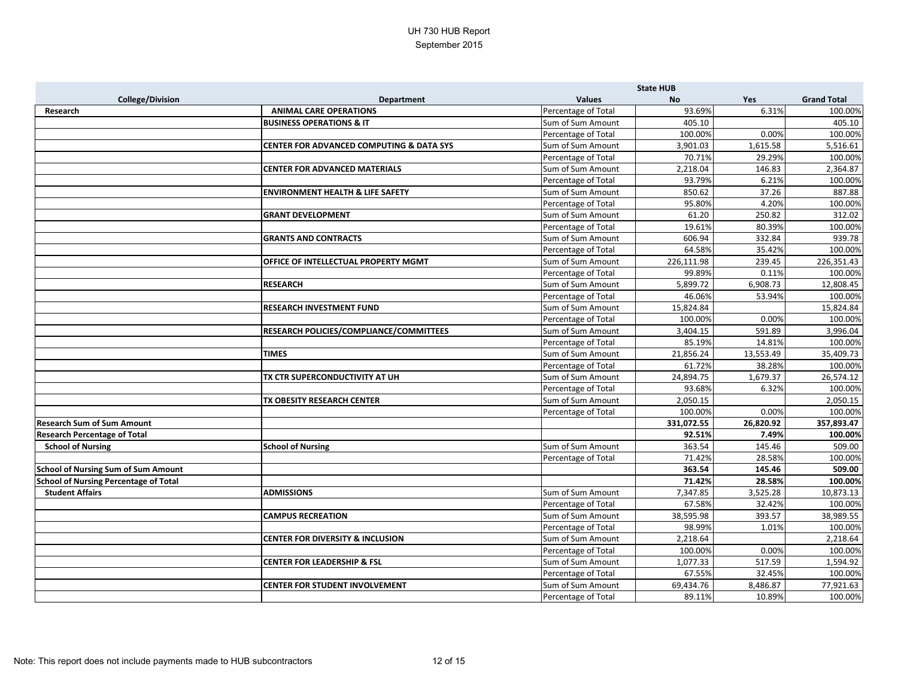|                                              |                                                     |                     | <b>State HUB</b> |           |                    |
|----------------------------------------------|-----------------------------------------------------|---------------------|------------------|-----------|--------------------|
| <b>College/Division</b>                      | <b>Department</b>                                   | <b>Values</b>       | <b>No</b>        | Yes       | <b>Grand Total</b> |
| Research                                     | <b>ANIMAL CARE OPERATIONS</b>                       | Percentage of Total | 93.69%           | 6.31%     | 100.00%            |
|                                              | <b>BUSINESS OPERATIONS &amp; IT</b>                 | Sum of Sum Amount   | 405.10           |           | 405.10             |
|                                              |                                                     | Percentage of Total | 100.00%          | 0.00%     | 100.00%            |
|                                              | <b>CENTER FOR ADVANCED COMPUTING &amp; DATA SYS</b> | Sum of Sum Amount   | 3,901.03         | 1,615.58  | 5,516.61           |
|                                              |                                                     | Percentage of Total | 70.71%           | 29.29%    | 100.00%            |
|                                              | <b>CENTER FOR ADVANCED MATERIALS</b>                | Sum of Sum Amount   | 2,218.04         | 146.83    | 2,364.87           |
|                                              |                                                     | Percentage of Total | 93.79%           | 6.21%     | 100.00%            |
|                                              | <b>ENVIRONMENT HEALTH &amp; LIFE SAFETY</b>         | Sum of Sum Amount   | 850.62           | 37.26     | 887.88             |
|                                              |                                                     | Percentage of Total | 95.80%           | 4.20%     | 100.00%            |
|                                              | <b>GRANT DEVELOPMENT</b>                            | Sum of Sum Amount   | 61.20            | 250.82    | 312.02             |
|                                              |                                                     | Percentage of Total | 19.61%           | 80.39%    | 100.00%            |
|                                              | <b>GRANTS AND CONTRACTS</b>                         | Sum of Sum Amount   | 606.94           | 332.84    | 939.78             |
|                                              |                                                     | Percentage of Total | 64.58%           | 35.42%    | 100.00%            |
|                                              | OFFICE OF INTELLECTUAL PROPERTY MGMT                | Sum of Sum Amount   | 226,111.98       | 239.45    | 226,351.43         |
|                                              |                                                     | Percentage of Total | 99.89%           | 0.11%     | 100.00%            |
|                                              | <b>RESEARCH</b>                                     | Sum of Sum Amount   | 5,899.72         | 6,908.73  | 12,808.45          |
|                                              |                                                     | Percentage of Total | 46.06%           | 53.94%    | 100.00%            |
|                                              | <b>RESEARCH INVESTMENT FUND</b>                     | Sum of Sum Amount   | 15,824.84        |           | 15,824.84          |
|                                              |                                                     | Percentage of Total | 100.00%          | 0.00%     | 100.00%            |
|                                              | RESEARCH POLICIES/COMPLIANCE/COMMITTEES             | Sum of Sum Amount   | 3,404.15         | 591.89    | 3,996.04           |
|                                              |                                                     | Percentage of Total | 85.19%           | 14.81%    | 100.00%            |
|                                              | <b>TIMES</b>                                        | Sum of Sum Amount   | 21,856.24        | 13,553.49 | 35,409.73          |
|                                              |                                                     | Percentage of Total | 61.72%           | 38.28%    | 100.00%            |
|                                              | TX CTR SUPERCONDUCTIVITY AT UH                      | Sum of Sum Amount   | 24,894.75        | 1,679.37  | 26,574.12          |
|                                              |                                                     | Percentage of Total | 93.68%           | 6.32%     | 100.00%            |
|                                              | TX OBESITY RESEARCH CENTER                          | Sum of Sum Amount   | 2,050.15         |           | 2,050.15           |
|                                              |                                                     | Percentage of Total | 100.00%          | 0.00%     | 100.00%            |
| <b>Research Sum of Sum Amount</b>            |                                                     |                     | 331,072.55       | 26,820.92 | 357,893.47         |
| <b>Research Percentage of Total</b>          |                                                     |                     | 92.51%           | 7.49%     | 100.00%            |
| <b>School of Nursing</b>                     | <b>School of Nursing</b>                            | Sum of Sum Amount   | 363.54           | 145.46    | 509.00             |
|                                              |                                                     | Percentage of Total | 71.42%           | 28.58%    | 100.00%            |
| <b>School of Nursing Sum of Sum Amount</b>   |                                                     |                     | 363.54           | 145.46    | 509.00             |
| <b>School of Nursing Percentage of Total</b> |                                                     |                     | 71.42%           | 28.58%    | 100.00%            |
| <b>Student Affairs</b>                       | <b>ADMISSIONS</b>                                   | Sum of Sum Amount   | 7,347.85         | 3,525.28  | 10,873.13          |
|                                              |                                                     | Percentage of Total | 67.58%           | 32.42%    | 100.00%            |
|                                              | <b>CAMPUS RECREATION</b>                            | Sum of Sum Amount   | 38,595.98        | 393.57    | 38,989.55          |
|                                              |                                                     | Percentage of Total | 98.99%           | 1.01%     | 100.00%            |
|                                              | <b>CENTER FOR DIVERSITY &amp; INCLUSION</b>         | Sum of Sum Amount   | 2,218.64         |           | 2,218.64           |
|                                              |                                                     | Percentage of Total | 100.00%          | 0.00%     | 100.00%            |
|                                              | <b>CENTER FOR LEADERSHIP &amp; FSL</b>              | Sum of Sum Amount   | 1,077.33         | 517.59    | 1,594.92           |
|                                              |                                                     | Percentage of Total | 67.55%           | 32.45%    | 100.00%            |
|                                              | <b>CENTER FOR STUDENT INVOLVEMENT</b>               | Sum of Sum Amount   | 69,434.76        | 8,486.87  | 77,921.63          |
|                                              |                                                     | Percentage of Total | 89.11%           | 10.89%    | 100.00%            |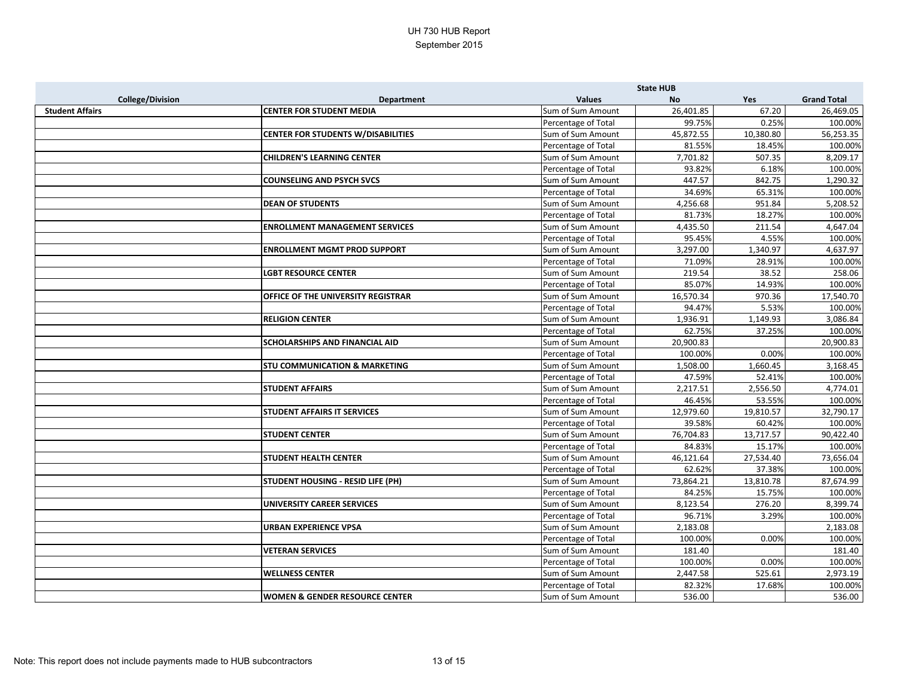|                         |                                           | <b>State HUB</b>    |           |           |                    |
|-------------------------|-------------------------------------------|---------------------|-----------|-----------|--------------------|
| <b>College/Division</b> | <b>Department</b>                         | <b>Values</b>       | <b>No</b> | Yes       | <b>Grand Total</b> |
| <b>Student Affairs</b>  | <b>CENTER FOR STUDENT MEDIA</b>           | Sum of Sum Amount   | 26,401.85 | 67.20     | 26,469.05          |
|                         |                                           | Percentage of Total | 99.75%    | 0.25%     | 100.00%            |
|                         | <b>CENTER FOR STUDENTS W/DISABILITIES</b> | Sum of Sum Amount   | 45,872.55 | 10,380.80 | 56,253.35          |
|                         |                                           | Percentage of Total | 81.55%    | 18.45%    | 100.00%            |
|                         | <b>CHILDREN'S LEARNING CENTER</b>         | Sum of Sum Amount   | 7,701.82  | 507.35    | 8,209.17           |
|                         |                                           | Percentage of Total | 93.82%    | 6.18%     | 100.00%            |
|                         | <b>COUNSELING AND PSYCH SVCS</b>          | Sum of Sum Amount   | 447.57    | 842.75    | 1,290.32           |
|                         |                                           | Percentage of Total | 34.69%    | 65.31%    | 100.00%            |
|                         | <b>DEAN OF STUDENTS</b>                   | Sum of Sum Amount   | 4,256.68  | 951.84    | 5,208.52           |
|                         |                                           | Percentage of Total | 81.73%    | 18.27%    | 100.00%            |
|                         | <b>ENROLLMENT MANAGEMENT SERVICES</b>     | Sum of Sum Amount   | 4,435.50  | 211.54    | 4,647.04           |
|                         |                                           | Percentage of Total | 95.45%    | 4.55%     | 100.00%            |
|                         | <b>ENROLLMENT MGMT PROD SUPPORT</b>       | Sum of Sum Amount   | 3,297.00  | 1,340.97  | 4,637.97           |
|                         |                                           | Percentage of Total | 71.09%    | 28.91%    | 100.00%            |
|                         | <b>LGBT RESOURCE CENTER</b>               | Sum of Sum Amount   | 219.54    | 38.52     | 258.06             |
|                         |                                           | Percentage of Total | 85.07%    | 14.93%    | 100.00%            |
|                         | OFFICE OF THE UNIVERSITY REGISTRAR        | Sum of Sum Amount   | 16,570.34 | 970.36    | 17,540.70          |
|                         |                                           | Percentage of Total | 94.47%    | 5.53%     | 100.00%            |
|                         | <b>RELIGION CENTER</b>                    | Sum of Sum Amount   | 1,936.91  | 1,149.93  | 3,086.84           |
|                         |                                           | Percentage of Total | 62.75%    | 37.25%    | 100.00%            |
|                         | <b>SCHOLARSHIPS AND FINANCIAL AID</b>     | Sum of Sum Amount   | 20,900.83 |           | 20,900.83          |
|                         |                                           | Percentage of Total | 100.00%   | 0.00%     | 100.00%            |
|                         | <b>STU COMMUNICATION &amp; MARKETING</b>  | Sum of Sum Amount   | 1,508.00  | 1,660.45  | 3,168.45           |
|                         |                                           | Percentage of Total | 47.59%    | 52.41%    | 100.00%            |
|                         | <b>STUDENT AFFAIRS</b>                    | Sum of Sum Amount   | 2,217.51  | 2,556.50  | 4,774.01           |
|                         |                                           | Percentage of Total | 46.45%    | 53.55%    | 100.00%            |
|                         | <b>STUDENT AFFAIRS IT SERVICES</b>        | Sum of Sum Amount   | 12,979.60 | 19,810.57 | 32,790.17          |
|                         |                                           | Percentage of Total | 39.58%    | 60.42%    | 100.00%            |
|                         | <b>STUDENT CENTER</b>                     | Sum of Sum Amount   | 76,704.83 | 13,717.57 | 90,422.40          |
|                         |                                           | Percentage of Total | 84.83%    | 15.17%    | 100.00%            |
|                         | <b>STUDENT HEALTH CENTER</b>              | Sum of Sum Amount   | 46,121.64 | 27,534.40 | 73,656.04          |
|                         |                                           | Percentage of Total | 62.62%    | 37.38%    | 100.00%            |
|                         | <b>STUDENT HOUSING - RESID LIFE (PH)</b>  | Sum of Sum Amount   | 73,864.21 | 13,810.78 | 87,674.99          |
|                         |                                           | Percentage of Total | 84.25%    | 15.75%    | 100.00%            |
|                         | UNIVERSITY CAREER SERVICES                | Sum of Sum Amount   | 8,123.54  | 276.20    | 8,399.74           |
|                         |                                           | Percentage of Total | 96.71%    | 3.29%     | 100.00%            |
|                         | <b>URBAN EXPERIENCE VPSA</b>              | Sum of Sum Amount   | 2,183.08  |           | 2,183.08           |
|                         |                                           | Percentage of Total | 100.00%   | 0.00%     | 100.00%            |
|                         | <b>VETERAN SERVICES</b>                   | Sum of Sum Amount   | 181.40    |           | 181.40             |
|                         |                                           | Percentage of Total | 100.00%   | 0.00%     | 100.00%            |
|                         | <b>WELLNESS CENTER</b>                    | Sum of Sum Amount   | 2,447.58  | 525.61    | 2,973.19           |
|                         |                                           | Percentage of Total | 82.32%    | 17.68%    | 100.00%            |
|                         | <b>WOMEN &amp; GENDER RESOURCE CENTER</b> | Sum of Sum Amount   | 536.00    |           | 536.00             |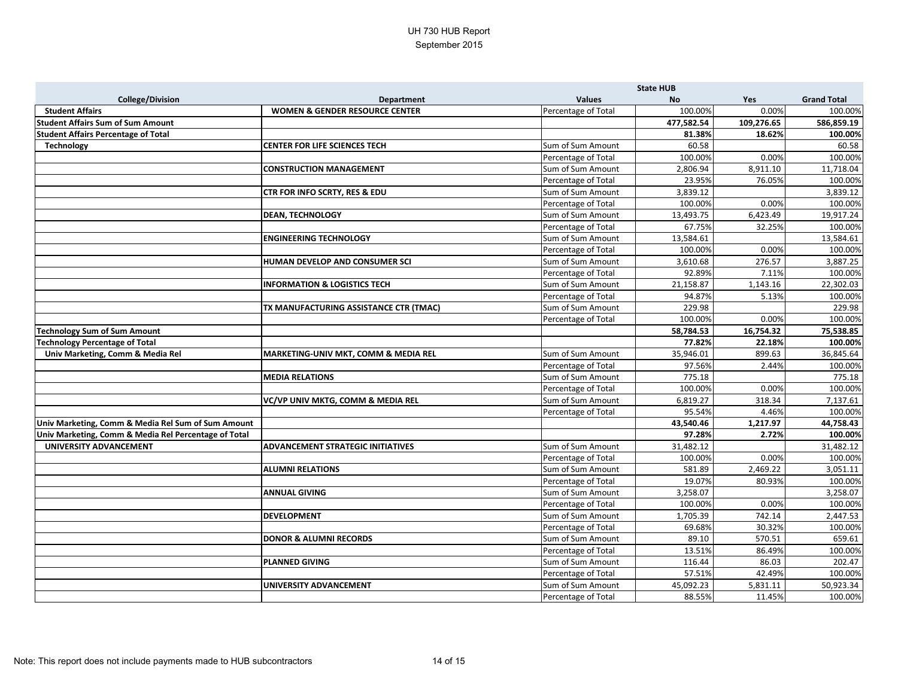|                                                      |                                           |                     | <b>State HUB</b> |            |                    |
|------------------------------------------------------|-------------------------------------------|---------------------|------------------|------------|--------------------|
| <b>College/Division</b>                              | <b>Department</b>                         | <b>Values</b>       | <b>No</b>        | Yes        | <b>Grand Total</b> |
| <b>Student Affairs</b>                               | <b>WOMEN &amp; GENDER RESOURCE CENTER</b> | Percentage of Total | 100.00%          | 0.00%      | 100.00%            |
| <b>Student Affairs Sum of Sum Amount</b>             |                                           |                     | 477,582.54       | 109,276.65 | 586,859.19         |
| <b>Student Affairs Percentage of Total</b>           |                                           |                     | 81.38%           | 18.62%     | 100.00%            |
| <b>Technology</b>                                    | <b>CENTER FOR LIFE SCIENCES TECH</b>      | Sum of Sum Amount   | 60.58            |            | 60.58              |
|                                                      |                                           | Percentage of Total | 100.00%          | 0.00%      | 100.00%            |
|                                                      | <b>CONSTRUCTION MANAGEMENT</b>            | Sum of Sum Amount   | 2,806.94         | 8,911.10   | 11,718.04          |
|                                                      |                                           | Percentage of Total | 23.95%           | 76.05%     | 100.00%            |
|                                                      | <b>CTR FOR INFO SCRTY, RES &amp; EDU</b>  | Sum of Sum Amount   | 3,839.12         |            | 3,839.12           |
|                                                      |                                           | Percentage of Total | 100.00%          | 0.00%      | 100.00%            |
|                                                      | <b>DEAN, TECHNOLOGY</b>                   | Sum of Sum Amount   | 13,493.75        | 6,423.49   | 19,917.24          |
|                                                      |                                           | Percentage of Total | 67.75%           | 32.25%     | 100.00%            |
|                                                      | <b>ENGINEERING TECHNOLOGY</b>             | Sum of Sum Amount   | 13,584.61        |            | 13,584.61          |
|                                                      |                                           | Percentage of Total | 100.00%          | 0.00%      | 100.00%            |
|                                                      | HUMAN DEVELOP AND CONSUMER SCI            | Sum of Sum Amount   | 3,610.68         | 276.57     | 3,887.25           |
|                                                      |                                           | Percentage of Total | 92.89%           | 7.11%      | 100.00%            |
|                                                      | <b>INFORMATION &amp; LOGISTICS TECH</b>   | Sum of Sum Amount   | 21,158.87        | 1,143.16   | 22,302.03          |
|                                                      |                                           | Percentage of Total | 94.87%           | 5.13%      | 100.00%            |
|                                                      | TX MANUFACTURING ASSISTANCE CTR (TMAC)    | Sum of Sum Amount   | 229.98           |            | 229.98             |
|                                                      |                                           | Percentage of Total | 100.00%          | 0.00%      | 100.00%            |
| <b>Technology Sum of Sum Amount</b>                  |                                           |                     | 58,784.53        | 16,754.32  | 75,538.85          |
| <b>Technology Percentage of Total</b>                |                                           |                     | 77.82%           | 22.18%     | 100.00%            |
| Univ Marketing, Comm & Media Rel                     | MARKETING-UNIV MKT, COMM & MEDIA REL      | Sum of Sum Amount   | 35,946.01        | 899.63     | 36,845.64          |
|                                                      |                                           | Percentage of Total | 97.56%           | 2.44%      | 100.00%            |
|                                                      | <b>MEDIA RELATIONS</b>                    | Sum of Sum Amount   | 775.18           |            | 775.18             |
|                                                      |                                           | Percentage of Total | 100.00%          | 0.00%      | 100.00%            |
|                                                      | VC/VP UNIV MKTG, COMM & MEDIA REL         | Sum of Sum Amount   | 6,819.27         | 318.34     | 7,137.61           |
|                                                      |                                           | Percentage of Total | 95.54%           | 4.46%      | 100.00%            |
| Univ Marketing, Comm & Media Rel Sum of Sum Amount   |                                           |                     | 43,540.46        | 1,217.97   | 44,758.43          |
| Univ Marketing, Comm & Media Rel Percentage of Total |                                           |                     | 97.28%           | 2.72%      | 100.00%            |
| <b>UNIVERSITY ADVANCEMENT</b>                        | <b>ADVANCEMENT STRATEGIC INITIATIVES</b>  | Sum of Sum Amount   | 31,482.12        |            | 31,482.12          |
|                                                      |                                           | Percentage of Total | 100.00%          | 0.00%      | 100.00%            |
|                                                      | <b>ALUMNI RELATIONS</b>                   | Sum of Sum Amount   | 581.89           | 2,469.22   | 3,051.11           |
|                                                      |                                           | Percentage of Total | 19.07%           | 80.93%     | 100.00%            |
|                                                      | <b>ANNUAL GIVING</b>                      | Sum of Sum Amount   | 3,258.07         |            | 3,258.07           |
|                                                      |                                           | Percentage of Total | 100.00%          | 0.00%      | 100.00%            |
|                                                      | <b>DEVELOPMENT</b>                        | Sum of Sum Amount   | 1,705.39         | 742.14     | 2,447.53           |
|                                                      |                                           | Percentage of Total | 69.68%           | 30.32%     | 100.00%            |
|                                                      | <b>DONOR &amp; ALUMNI RECORDS</b>         | Sum of Sum Amount   | 89.10            | 570.51     | 659.61             |
|                                                      |                                           | Percentage of Total | 13.51%           | 86.49%     | 100.00%            |
|                                                      | <b>PLANNED GIVING</b>                     | Sum of Sum Amount   | 116.44           | 86.03      | 202.47             |
|                                                      |                                           | Percentage of Total | 57.51%           | 42.49%     | 100.00%            |
|                                                      | UNIVERSITY ADVANCEMENT                    | Sum of Sum Amount   | 45,092.23        | 5,831.11   | 50,923.34          |
|                                                      |                                           | Percentage of Total | 88.55%           | 11.45%     | 100.00%            |